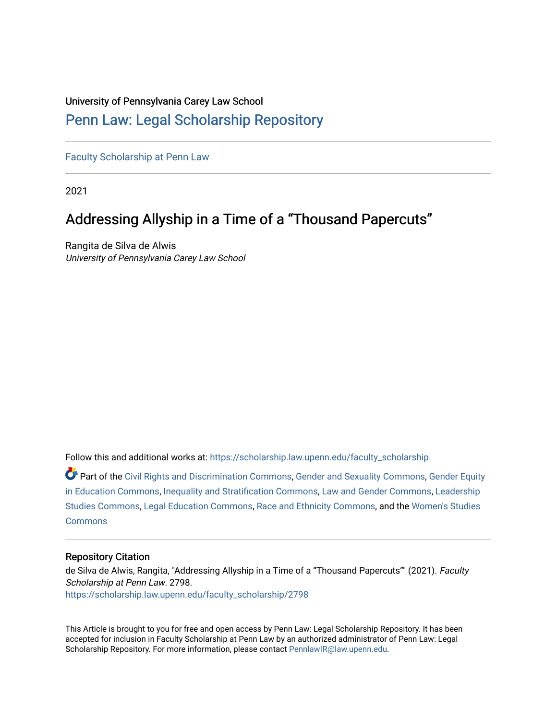# University of Pennsylvania Carey Law School

# [Penn Law: Legal Scholarship Repository](https://scholarship.law.upenn.edu/)

[Faculty Scholarship at Penn Law](https://scholarship.law.upenn.edu/faculty_scholarship)

2021

# Addressing Allyship in a Time of a "Thousand Papercuts"

Rangita de Silva de Alwis University of Pennsylvania Carey Law School

Follow this and additional works at: [https://scholarship.law.upenn.edu/faculty\\_scholarship](https://scholarship.law.upenn.edu/faculty_scholarship?utm_source=scholarship.law.upenn.edu%2Ffaculty_scholarship%2F2798&utm_medium=PDF&utm_campaign=PDFCoverPages) 

Part of the [Civil Rights and Discrimination Commons,](https://network.bepress.com/hgg/discipline/585?utm_source=scholarship.law.upenn.edu%2Ffaculty_scholarship%2F2798&utm_medium=PDF&utm_campaign=PDFCoverPages) [Gender and Sexuality Commons](https://network.bepress.com/hgg/discipline/420?utm_source=scholarship.law.upenn.edu%2Ffaculty_scholarship%2F2798&utm_medium=PDF&utm_campaign=PDFCoverPages), [Gender Equity](https://network.bepress.com/hgg/discipline/1376?utm_source=scholarship.law.upenn.edu%2Ffaculty_scholarship%2F2798&utm_medium=PDF&utm_campaign=PDFCoverPages) [in Education Commons](https://network.bepress.com/hgg/discipline/1376?utm_source=scholarship.law.upenn.edu%2Ffaculty_scholarship%2F2798&utm_medium=PDF&utm_campaign=PDFCoverPages), [Inequality and Stratification Commons,](https://network.bepress.com/hgg/discipline/421?utm_source=scholarship.law.upenn.edu%2Ffaculty_scholarship%2F2798&utm_medium=PDF&utm_campaign=PDFCoverPages) [Law and Gender Commons](https://network.bepress.com/hgg/discipline/1298?utm_source=scholarship.law.upenn.edu%2Ffaculty_scholarship%2F2798&utm_medium=PDF&utm_campaign=PDFCoverPages), [Leadership](https://network.bepress.com/hgg/discipline/1250?utm_source=scholarship.law.upenn.edu%2Ffaculty_scholarship%2F2798&utm_medium=PDF&utm_campaign=PDFCoverPages)  [Studies Commons,](https://network.bepress.com/hgg/discipline/1250?utm_source=scholarship.law.upenn.edu%2Ffaculty_scholarship%2F2798&utm_medium=PDF&utm_campaign=PDFCoverPages) [Legal Education Commons,](https://network.bepress.com/hgg/discipline/857?utm_source=scholarship.law.upenn.edu%2Ffaculty_scholarship%2F2798&utm_medium=PDF&utm_campaign=PDFCoverPages) [Race and Ethnicity Commons,](https://network.bepress.com/hgg/discipline/426?utm_source=scholarship.law.upenn.edu%2Ffaculty_scholarship%2F2798&utm_medium=PDF&utm_campaign=PDFCoverPages) and the [Women's Studies](https://network.bepress.com/hgg/discipline/561?utm_source=scholarship.law.upenn.edu%2Ffaculty_scholarship%2F2798&utm_medium=PDF&utm_campaign=PDFCoverPages) **[Commons](https://network.bepress.com/hgg/discipline/561?utm_source=scholarship.law.upenn.edu%2Ffaculty_scholarship%2F2798&utm_medium=PDF&utm_campaign=PDFCoverPages)** 

# Repository Citation

de Silva de Alwis, Rangita, "Addressing Allyship in a Time of a "Thousand Papercuts"" (2021). Faculty Scholarship at Penn Law. 2798. [https://scholarship.law.upenn.edu/faculty\\_scholarship/2798](https://scholarship.law.upenn.edu/faculty_scholarship/2798?utm_source=scholarship.law.upenn.edu%2Ffaculty_scholarship%2F2798&utm_medium=PDF&utm_campaign=PDFCoverPages)

This Article is brought to you for free and open access by Penn Law: Legal Scholarship Repository. It has been accepted for inclusion in Faculty Scholarship at Penn Law by an authorized administrator of Penn Law: Legal Scholarship Repository. For more information, please contact [PennlawIR@law.upenn.edu.](mailto:PennlawIR@law.upenn.edu)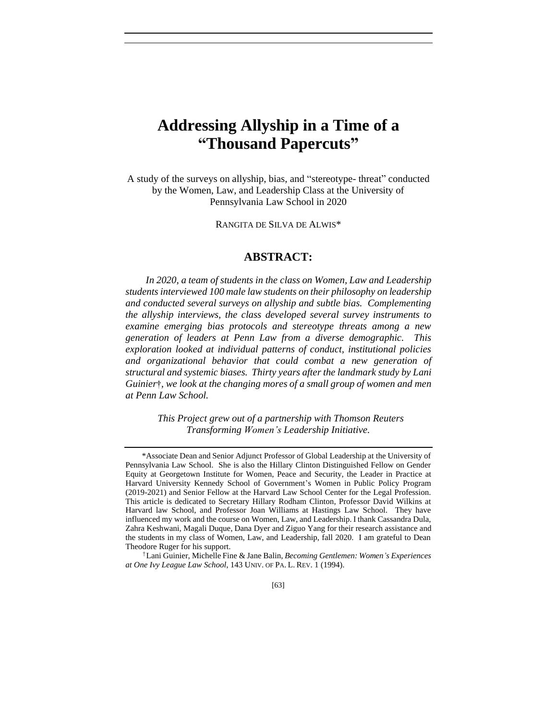# **Addressing Allyship in a Time of a "Thousand Papercuts"**

A study of the surveys on allyship, bias, and "stereotype- threat" conducted by the Women, Law, and Leadership Class at the University of Pennsylvania Law School in 2020

RANGITA DE SILVA DE ALWIS\*

# **ABSTRACT:**

*In 2020, a team of students in the class on Women, Law and Leadership students interviewed 100 male law students on their philosophy on leadership and conducted several surveys on allyship and subtle bias. Complementing the allyship interviews, the class developed several survey instruments to examine emerging bias protocols and stereotype threats among a new generation of leaders at Penn Law from a diverse demographic. This exploration looked at individual patterns of conduct, institutional policies and organizational behavior that could combat a new generation of structural and systemic biases. Thirty years after the landmark study by Lani Guinier*†*, we look at the changing mores of a small group of women and men at Penn Law School.*

> *This Project grew out of a partnership with Thomson Reuters Transforming Women's Leadership Initiative.*

<sup>\*</sup>Associate Dean and Senior Adjunct Professor of Global Leadership at the University of Pennsylvania Law School. She is also the Hillary Clinton Distinguished Fellow on Gender Equity at Georgetown Institute for Women, Peace and Security, the Leader in Practice at Harvard University Kennedy School of Government's Women in Public Policy Program (2019-2021) and Senior Fellow at the Harvard Law School Center for the Legal Profession. This article is dedicated to Secretary Hillary Rodham Clinton, Professor David Wilkins at Harvard law School, and Professor Joan Williams at Hastings Law School. They have influenced my work and the course on Women, Law, and Leadership. I thank Cassandra Dula, Zahra Keshwani, Magali Duque, Dana Dyer and Ziguo Yang for their research assistance and the students in my class of Women, Law, and Leadership, fall 2020. I am grateful to Dean Theodore Ruger for his support.

<sup>†</sup>Lani Guinier, Michelle Fine & Jane Balin, *Becoming Gentlemen: Women's Experiences at One Ivy League Law School*, 143 UNIV. OF PA. L. REV. 1 (1994).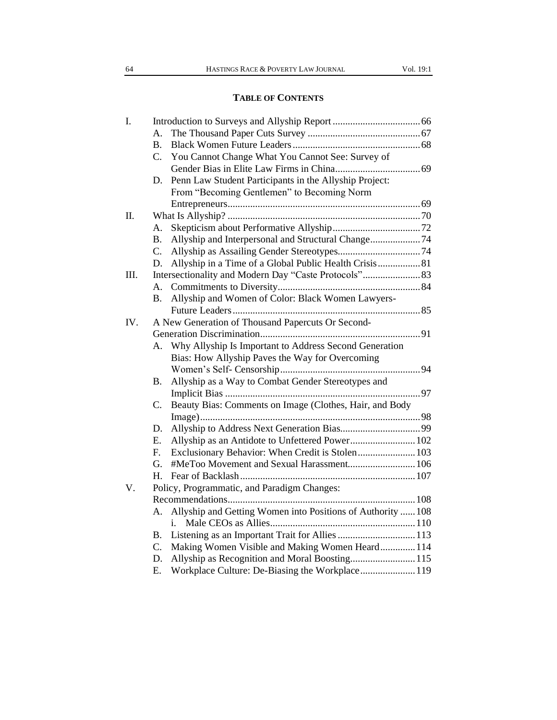# **TABLE OF CONTENTS**

| I.   |                                                   |                                                             |  |
|------|---------------------------------------------------|-------------------------------------------------------------|--|
|      | А.                                                |                                                             |  |
|      | <b>B.</b>                                         |                                                             |  |
|      | C.                                                | You Cannot Change What You Cannot See: Survey of            |  |
|      |                                                   |                                                             |  |
|      | D.                                                | Penn Law Student Participants in the Allyship Project:      |  |
|      |                                                   | From "Becoming Gentlemen" to Becoming Norm                  |  |
|      |                                                   |                                                             |  |
| II.  |                                                   |                                                             |  |
|      | А.                                                |                                                             |  |
|      | B.                                                | Allyship and Interpersonal and Structural Change74          |  |
|      | C <sub>1</sub>                                    |                                                             |  |
|      | D.                                                | Allyship in a Time of a Global Public Health Crisis 81      |  |
| III. |                                                   |                                                             |  |
|      | A.                                                |                                                             |  |
|      | В.                                                | Allyship and Women of Color: Black Women Lawyers-           |  |
|      |                                                   |                                                             |  |
| IV.  | A New Generation of Thousand Papercuts Or Second- |                                                             |  |
|      |                                                   |                                                             |  |
|      | А.                                                | Why Allyship Is Important to Address Second Generation      |  |
|      |                                                   | Bias: How Allyship Paves the Way for Overcoming             |  |
|      |                                                   |                                                             |  |
|      | <b>B.</b>                                         | Allyship as a Way to Combat Gender Stereotypes and          |  |
|      |                                                   |                                                             |  |
|      | C.                                                | Beauty Bias: Comments on Image (Clothes, Hair, and Body     |  |
|      |                                                   |                                                             |  |
|      | D.                                                |                                                             |  |
|      | E.                                                | Allyship as an Antidote to Unfettered Power 102             |  |
|      | F.                                                | Exclusionary Behavior: When Credit is Stolen 103            |  |
|      | G.                                                | #MeToo Movement and Sexual Harassment 106                   |  |
|      | Η.                                                |                                                             |  |
| V.   |                                                   | Policy, Programmatic, and Paradigm Changes:                 |  |
|      |                                                   |                                                             |  |
|      | А.                                                | Allyship and Getting Women into Positions of Authority  108 |  |
|      |                                                   | i.                                                          |  |
|      | В.                                                | Listening as an Important Trait for Allies 113              |  |
|      | $C_{\cdot}$                                       | Making Women Visible and Making Women Heard114              |  |
|      | D.                                                | Allyship as Recognition and Moral Boosting115               |  |
|      | E.                                                | Workplace Culture: De-Biasing the Workplace 119             |  |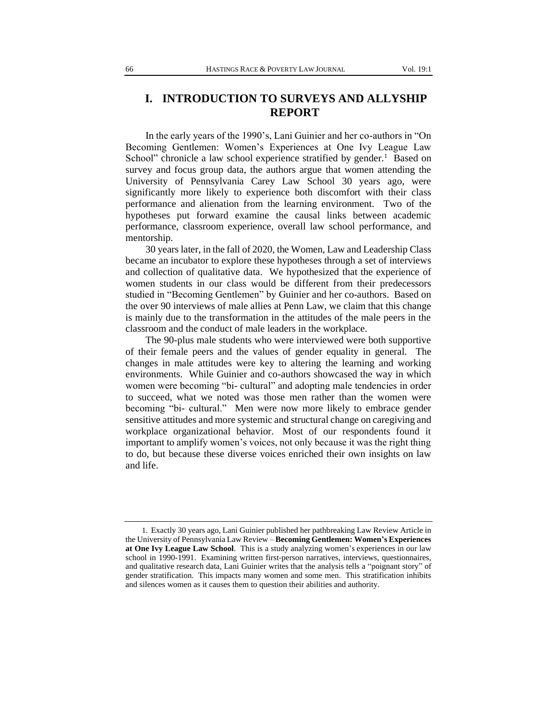# **I. INTRODUCTION TO SURVEYS AND ALLYSHIP REPORT**

In the early years of the 1990's, Lani Guinier and her co-authors in "On Becoming Gentlemen: Women's Experiences at One Ivy League Law School" chronicle a law school experience stratified by gender.<sup>1</sup> Based on survey and focus group data, the authors argue that women attending the University of Pennsylvania Carey Law School 30 years ago, were significantly more likely to experience both discomfort with their class performance and alienation from the learning environment. Two of the hypotheses put forward examine the causal links between academic performance, classroom experience, overall law school performance, and mentorship.

30 years later, in the fall of 2020, the Women, Law and Leadership Class became an incubator to explore these hypotheses through a set of interviews and collection of qualitative data. We hypothesized that the experience of women students in our class would be different from their predecessors studied in "Becoming Gentlemen" by Guinier and her co-authors. Based on the over 90 interviews of male allies at Penn Law, we claim that this change is mainly due to the transformation in the attitudes of the male peers in the classroom and the conduct of male leaders in the workplace.

The 90-plus male students who were interviewed were both supportive of their female peers and the values of gender equality in general. The changes in male attitudes were key to altering the learning and working environments. While Guinier and co-authors showcased the way in which women were becoming "bi- cultural" and adopting male tendencies in order to succeed, what we noted was those men rather than the women were becoming "bi- cultural." Men were now more likely to embrace gender sensitive attitudes and more systemic and structural change on caregiving and workplace organizational behavior. Most of our respondents found it important to amplify women's voices, not only because it was the right thing to do, but because these diverse voices enriched their own insights on law and life.

<sup>1</sup>. Exactly 30 years ago, Lani Guinier published her pathbreaking Law Review Article in the University of Pennsylvania Law Review – **Becoming Gentlemen: Women's Experiences at One Ivy League Law School**. This is a study analyzing women's experiences in our law school in 1990-1991. Examining written first-person narratives, interviews, questionnaires, and qualitative research data, Lani Guinier writes that the analysis tells a "poignant story" of gender stratification. This impacts many women and some men. This stratification inhibits and silences women as it causes them to question their abilities and authority.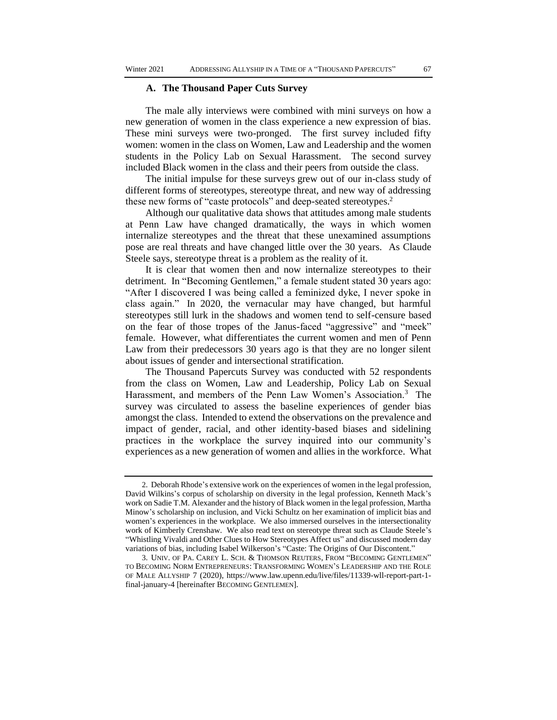#### **A. The Thousand Paper Cuts Survey**

The male ally interviews were combined with mini surveys on how a new generation of women in the class experience a new expression of bias. These mini surveys were two-pronged. The first survey included fifty women: women in the class on Women, Law and Leadership and the women students in the Policy Lab on Sexual Harassment. The second survey included Black women in the class and their peers from outside the class.

The initial impulse for these surveys grew out of our in-class study of different forms of stereotypes, stereotype threat, and new way of addressing these new forms of "caste protocols" and deep-seated stereotypes.<sup>2</sup>

Although our qualitative data shows that attitudes among male students at Penn Law have changed dramatically, the ways in which women internalize stereotypes and the threat that these unexamined assumptions pose are real threats and have changed little over the 30 years. As Claude Steele says, stereotype threat is a problem as the reality of it.

It is clear that women then and now internalize stereotypes to their detriment. In "Becoming Gentlemen," a female student stated 30 years ago: "After I discovered I was being called a feminized dyke, I never spoke in class again." In 2020, the vernacular may have changed, but harmful stereotypes still lurk in the shadows and women tend to self-censure based on the fear of those tropes of the Janus-faced "aggressive" and "meek" female. However, what differentiates the current women and men of Penn Law from their predecessors 30 years ago is that they are no longer silent about issues of gender and intersectional stratification.

The Thousand Papercuts Survey was conducted with 52 respondents from the class on Women, Law and Leadership, Policy Lab on Sexual Harassment, and members of the Penn Law Women's Association.<sup>3</sup> The survey was circulated to assess the baseline experiences of gender bias amongst the class. Intended to extend the observations on the prevalence and impact of gender, racial, and other identity-based biases and sidelining practices in the workplace the survey inquired into our community's experiences as a new generation of women and allies in the workforce. What

<sup>2</sup>. Deborah Rhode's extensive work on the experiences of women in the legal profession, David Wilkins's corpus of scholarship on diversity in the legal profession, Kenneth Mack's work on Sadie T.M. Alexander and the history of Black women in the legal profession, Martha Minow's scholarship on inclusion, and Vicki Schultz on her examination of implicit bias and women's experiences in the workplace. We also immersed ourselves in the intersectionality work of Kimberly Crenshaw. We also read text on stereotype threat such as Claude Steele's "Whistling Vivaldi and Other Clues to How Stereotypes Affect us" and discussed modern day variations of bias, including Isabel Wilkerson's "Caste: The Origins of Our Discontent."

<sup>3</sup>. UNIV. OF PA. CAREY L. SCH. & THOMSON REUTERS, FROM "BECOMING GENTLEMEN" TO BECOMING NORM ENTREPRENEURS: TRANSFORMING WOMEN'S LEADERSHIP AND THE ROLE OF MALE ALLYSHIP 7 (2020), https://www.law.upenn.edu/live/files/11339-wll-report-part-1 final-january-4 [hereinafter BECOMING GENTLEMEN].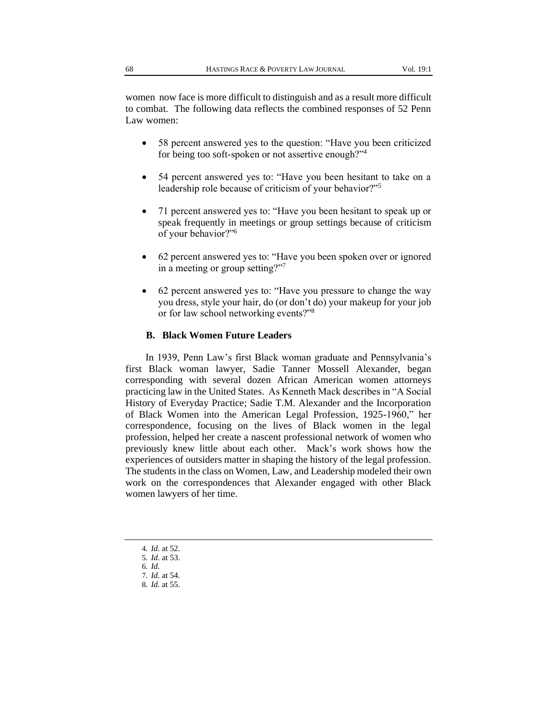women now face is more difficult to distinguish and as a result more difficult to combat. The following data reflects the combined responses of 52 Penn Law women:

- 58 percent answered yes to the question: "Have you been criticized for being too soft-spoken or not assertive enough?"<sup>4</sup>
- 54 percent answered yes to: "Have you been hesitant to take on a leadership role because of criticism of your behavior?"<sup>5</sup>
- 71 percent answered yes to: "Have you been hesitant to speak up or speak frequently in meetings or group settings because of criticism of your behavior?"<sup>6</sup>
- 62 percent answered yes to: "Have you been spoken over or ignored in a meeting or group setting?"7
- 62 percent answered yes to: "Have you pressure to change the way you dress, style your hair, do (or don't do) your makeup for your job or for law school networking events?"<sup>8</sup>

# **B. Black Women Future Leaders**

In 1939, Penn Law's first Black woman graduate and Pennsylvania's first Black woman lawyer, Sadie Tanner Mossell Alexander, began corresponding with several dozen African American women attorneys practicing law in the United States. As Kenneth Mack describes in "A Social History of Everyday Practice; Sadie T.M. Alexander and the Incorporation of Black Women into the American Legal Profession, 1925-1960," her correspondence, focusing on the lives of Black women in the legal profession, helped her create a nascent professional network of women who previously knew little about each other. Mack's work shows how the experiences of outsiders matter in shaping the history of the legal profession. The students in the class on Women, Law, and Leadership modeled their own work on the correspondences that Alexander engaged with other Black women lawyers of her time.

4*. Id.* at 52.

<sup>5</sup>*. Id.* at 53.

<sup>6</sup>*. Id.*

<sup>7</sup>*. Id.* at 54.

<sup>8</sup>*. Id.* at 55.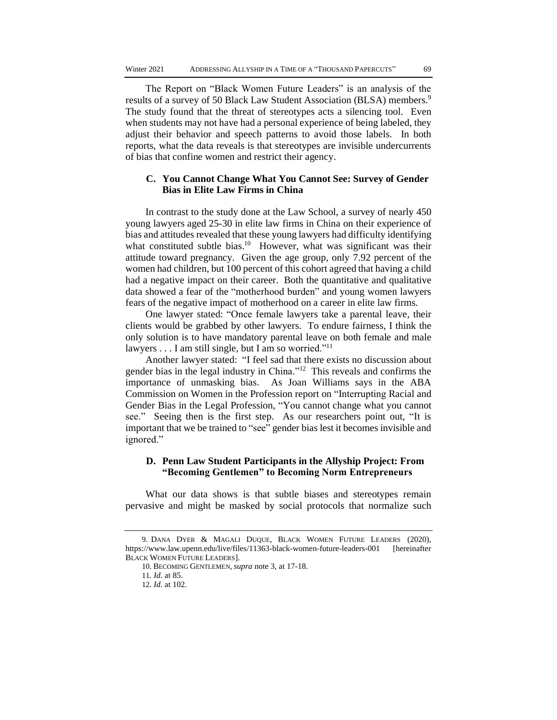The Report on "Black Women Future Leaders" is an analysis of the results of a survey of 50 Black Law Student Association (BLSA) members.<sup>9</sup> The study found that the threat of stereotypes acts a silencing tool. Even when students may not have had a personal experience of being labeled, they adjust their behavior and speech patterns to avoid those labels. In both reports, what the data reveals is that stereotypes are invisible undercurrents of bias that confine women and restrict their agency.

## **C. You Cannot Change What You Cannot See: Survey of Gender Bias in Elite Law Firms in China**

In contrast to the study done at the Law School, a survey of nearly 450 young lawyers aged 25-30 in elite law firms in China on their experience of bias and attitudes revealed that these young lawyers had difficulty identifying what constituted subtle bias.<sup>10</sup> However, what was significant was their attitude toward pregnancy. Given the age group, only 7.92 percent of the women had children, but 100 percent of this cohort agreed that having a child had a negative impact on their career. Both the quantitative and qualitative data showed a fear of the "motherhood burden" and young women lawyers fears of the negative impact of motherhood on a career in elite law firms.

One lawyer stated: "Once female lawyers take a parental leave, their clients would be grabbed by other lawyers. To endure fairness, I think the only solution is to have mandatory parental leave on both female and male lawyers  $\dots$  I am still single, but I am so worried."<sup>11</sup>

Another lawyer stated: "I feel sad that there exists no discussion about gender bias in the legal industry in China."<sup>12</sup> This reveals and confirms the importance of unmasking bias. As Joan Williams says in the ABA Commission on Women in the Profession report on "Interrupting Racial and Gender Bias in the Legal Profession, "You cannot change what you cannot see." Seeing then is the first step. As our researchers point out, "It is important that we be trained to "see" gender bias lest it becomes invisible and ignored."

## **D. Penn Law Student Participants in the Allyship Project: From "Becoming Gentlemen" to Becoming Norm Entrepreneurs**

What our data shows is that subtle biases and stereotypes remain pervasive and might be masked by social protocols that normalize such

<sup>9</sup>. DANA DYER & MAGALI DUQUE, BLACK WOMEN FUTURE LEADERS (2020), https://www.law.upenn.edu/live/files/11363-black-women-future-leaders-001 [hereinafter BLACK WOMEN FUTURE LEADERS].

<sup>10</sup>. BECOMING GENTLEMEN,*supra* note 3, at 17-18.

<sup>11</sup>*. Id.* at 85.

<sup>12</sup>*. Id.* at 102.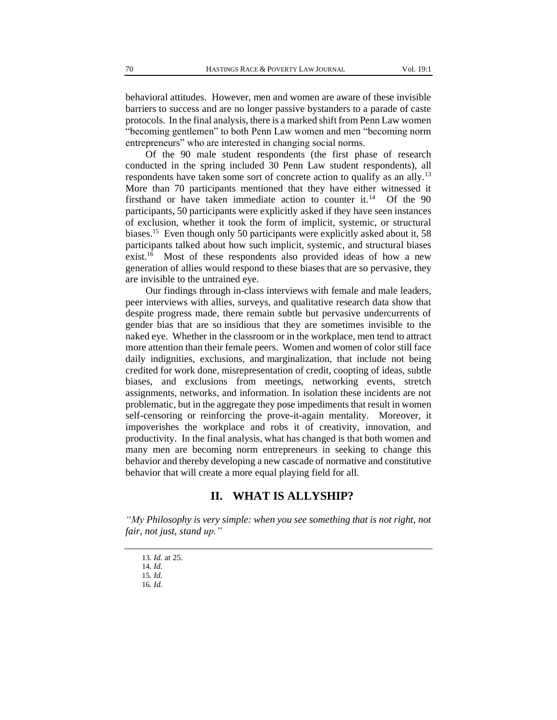behavioral attitudes. However, men and women are aware of these invisible barriers to success and are no longer passive bystanders to a parade of caste protocols. In the final analysis, there is a marked shift from Penn Law women "becoming gentlemen" to both Penn Law women and men "becoming norm entrepreneurs" who are interested in changing social norms.

Of the 90 male student respondents (the first phase of research conducted in the spring included 30 Penn Law student respondents), all respondents have taken some sort of concrete action to qualify as an ally.<sup>13</sup> More than 70 participants mentioned that they have either witnessed it firsthand or have taken immediate action to counter it.<sup>14</sup> Of the 90 participants, 50 participants were explicitly asked if they have seen instances of exclusion, whether it took the form of implicit, systemic, or structural biases.<sup>15</sup> Even though only 50 participants were explicitly asked about it, 58 participants talked about how such implicit, systemic, and structural biases  $\text{exist.}^{16}$  Most of these respondents also provided ideas of how a new generation of allies would respond to these biases that are so pervasive, they are invisible to the untrained eye.

Our findings through in-class interviews with female and male leaders, peer interviews with allies, surveys, and qualitative research data show that despite progress made, there remain subtle but pervasive undercurrents of gender bias that are so insidious that they are sometimes invisible to the naked eye. Whether in the classroom or in the workplace, men tend to attract more attention than their female peers. Women and women of color still face daily indignities, exclusions, and marginalization, that include not being credited for work done, misrepresentation of credit, coopting of ideas, subtle biases, and exclusions from meetings, networking events, stretch assignments, networks, and information. In isolation these incidents are not problematic, but in the aggregate they pose impediments that result in women self-censoring or reinforcing the prove-it-again mentality. Moreover, it impoverishes the workplace and robs it of creativity, innovation, and productivity. In the final analysis, what has changed is that both women and many men are becoming norm entrepreneurs in seeking to change this behavior and thereby developing a new cascade of normative and constitutive behavior that will create a more equal playing field for all.

# **II. WHAT IS ALLYSHIP?**

*"My Philosophy is very simple: when you see something that is not right, not fair, not just, stand up."*

<sup>13</sup>*. Id.* at 25.

<sup>14</sup>*. Id.* 15*. Id.*

<sup>16</sup>*. Id.*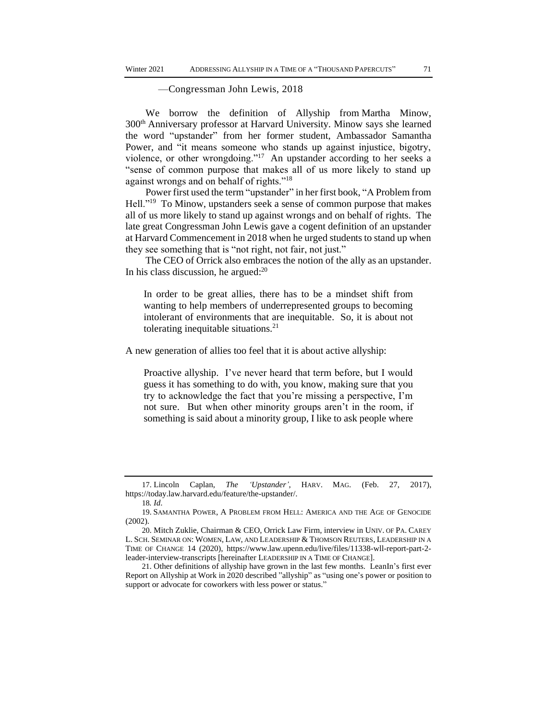#### —Congressman John Lewis, 2018

We borrow the definition of Allyship from Martha Minow, 300th Anniversary professor at Harvard University. Minow says she learned the word "upstander" from her former student, Ambassador Samantha Power, and "it means someone who stands up against injustice, bigotry, violence, or other wrongdoing."<sup>17</sup> An upstander according to her seeks a "sense of common purpose that makes all of us more likely to stand up against wrongs and on behalf of rights."<sup>18</sup>

Power first used the term "upstander" in her first book, "A Problem from Hell."<sup>19</sup> To Minow, upstanders seek a sense of common purpose that makes all of us more likely to stand up against wrongs and on behalf of rights. The late great Congressman John Lewis gave a cogent definition of an upstander at Harvard Commencement in 2018 when he urged students to stand up when they see something that is "not right, not fair, not just."

The CEO of Orrick also embraces the notion of the ally as an upstander. In his class discussion, he argued: $20$ 

In order to be great allies, there has to be a mindset shift from wanting to help members of underrepresented groups to becoming intolerant of environments that are inequitable. So, it is about not tolerating inequitable situations. $^{21}$ 

A new generation of allies too feel that it is about active allyship:

Proactive allyship. I've never heard that term before, but I would guess it has something to do with, you know, making sure that you try to acknowledge the fact that you're missing a perspective, I'm not sure. But when other minority groups aren't in the room, if something is said about a minority group, I like to ask people where

<sup>17</sup>. Lincoln Caplan, *The 'Upstander'*, HARV. MAG. (Feb. 27, 2017), https://today.law.harvard.edu/feature/the-upstander/.

<sup>18</sup>*. Id*.

<sup>19</sup>. SAMANTHA POWER, A PROBLEM FROM HELL: AMERICA AND THE AGE OF GENOCIDE (2002).

<sup>20</sup>. Mitch Zuklie, Chairman & CEO, Orrick Law Firm, interview in UNIV. OF PA. CAREY L. SCH. SEMINAR ON: WOMEN, LAW, AND LEADERSHIP & THOMSON REUTERS, LEADERSHIP IN A TIME OF CHANGE 14 (2020), https://www.law.upenn.edu/live/files/11338-wll-report-part-2 leader-interview-transcripts [hereinafter LEADERSHIP IN A TIME OF CHANGE].

<sup>21</sup>. Other definitions of allyship have grown in the last few months. LeanIn's first ever Report on Allyship at Work in 2020 described "allyship" as "using one's power or position to support or advocate for coworkers with less power or status."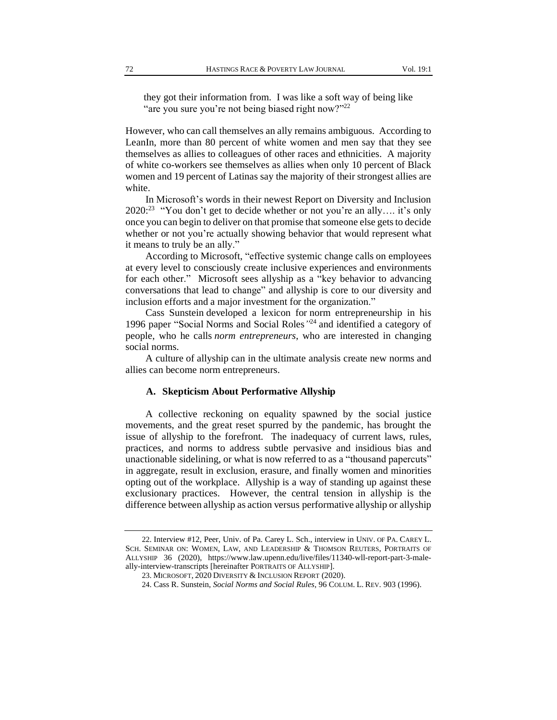they got their information from. I was like a soft way of being like "are you sure you're not being biased right now?"22

However, who can call themselves an ally remains ambiguous. According to LeanIn, more than 80 percent of white women and men say that they see themselves as allies to colleagues of other races and ethnicities. A majority of white co-workers see themselves as allies when only 10 percent of Black women and 19 percent of Latinas say the majority of their strongest allies are white.

In Microsoft's words in their newest Report on Diversity and Inclusion  $2020$ :<sup>23</sup> "You don't get to decide whether or not you're an ally.... it's only once you can begin to deliver on that promise that someone else gets to decide whether or not you're actually showing behavior that would represent what it means to truly be an ally."

According to Microsoft, "effective systemic change calls on employees at every level to consciously create inclusive experiences and environments for each other." Microsoft sees allyship as a "key behavior to advancing conversations that lead to change" and allyship is core to our diversity and inclusion efforts and a major investment for the organization."

Cass Sunstein developed a lexicon for norm entrepreneurship in his 1996 paper "Social Norms and Social Roles*"* <sup>24</sup> and identified a category of people, who he calls *norm entrepreneurs*, who are interested in changing social norms.

A culture of allyship can in the ultimate analysis create new norms and allies can become norm entrepreneurs.

#### **A. Skepticism About Performative Allyship**

A collective reckoning on equality spawned by the social justice movements, and the great reset spurred by the pandemic, has brought the issue of allyship to the forefront. The inadequacy of current laws, rules, practices, and norms to address subtle pervasive and insidious bias and unactionable sidelining, or what is now referred to as a "thousand papercuts" in aggregate, result in exclusion, erasure, and finally women and minorities opting out of the workplace. Allyship is a way of standing up against these exclusionary practices. However, the central tension in allyship is the difference between allyship as action versus performative allyship or allyship

<sup>22</sup>. Interview #12, Peer, Univ. of Pa. Carey L. Sch., interview in UNIV. OF PA. CAREY L. SCH. SEMINAR ON: WOMEN, LAW, AND LEADERSHIP & THOMSON REUTERS, PORTRAITS OF ALLYSHIP 36 (2020), https://www.law.upenn.edu/live/files/11340-wll-report-part-3-maleally-interview-transcripts [hereinafter PORTRAITS OF ALLYSHIP].

<sup>23</sup>. MICROSOFT, 2020 DIVERSITY & INCLUSION REPORT (2020).

<sup>24</sup>. Cass R. Sunstein, *Social Norms and Social Rules*, 96 COLUM. L. REV. 903 (1996).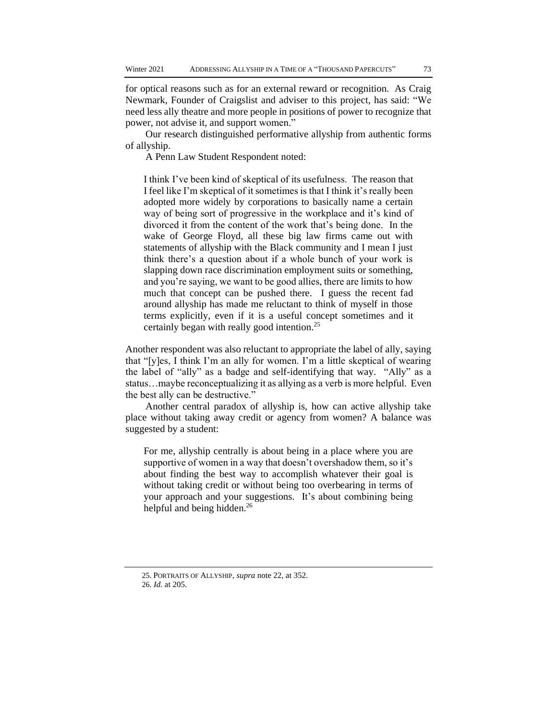for optical reasons such as for an external reward or recognition. As Craig Newmark, Founder of Craigslist and adviser to this project, has said: "We need less ally theatre and more people in positions of power to recognize that power, not advise it, and support women."

Our research distinguished performative allyship from authentic forms of allyship.

A Penn Law Student Respondent noted:

I think I've been kind of skeptical of its usefulness. The reason that I feel like I'm skeptical of it sometimes is that I think it's really been adopted more widely by corporations to basically name a certain way of being sort of progressive in the workplace and it's kind of divorced it from the content of the work that's being done. In the wake of George Floyd, all these big law firms came out with statements of allyship with the Black community and I mean I just think there's a question about if a whole bunch of your work is slapping down race discrimination employment suits or something, and you're saying, we want to be good allies, there are limits to how much that concept can be pushed there. I guess the recent fad around allyship has made me reluctant to think of myself in those terms explicitly, even if it is a useful concept sometimes and it certainly began with really good intention.<sup>25</sup>

Another respondent was also reluctant to appropriate the label of ally, saying that "[y]es, I think I'm an ally for women. I'm a little skeptical of wearing the label of "ally" as a badge and self-identifying that way. "Ally" as a status…maybe reconceptualizing it as allying as a verb is more helpful. Even the best ally can be destructive."

Another central paradox of allyship is, how can active allyship take place without taking away credit or agency from women? A balance was suggested by a student:

For me, allyship centrally is about being in a place where you are supportive of women in a way that doesn't overshadow them, so it's about finding the best way to accomplish whatever their goal is without taking credit or without being too overbearing in terms of your approach and your suggestions. It's about combining being helpful and being hidden.<sup>26</sup>

<sup>25</sup>. PORTRAITS OF ALLYSHIP, *supra* note 22, at 352. 26. *Id.* at 205.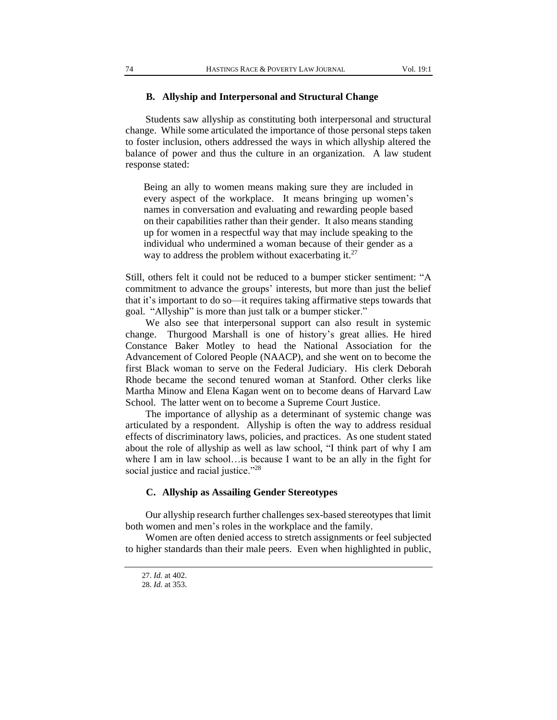### **B. Allyship and Interpersonal and Structural Change**

Students saw allyship as constituting both interpersonal and structural change. While some articulated the importance of those personal steps taken to foster inclusion, others addressed the ways in which allyship altered the balance of power and thus the culture in an organization. A law student response stated:

Being an ally to women means making sure they are included in every aspect of the workplace. It means bringing up women's names in conversation and evaluating and rewarding people based on their capabilities rather than their gender. It also means standing up for women in a respectful way that may include speaking to the individual who undermined a woman because of their gender as a way to address the problem without exacerbating it.<sup>27</sup>

Still, others felt it could not be reduced to a bumper sticker sentiment: "A commitment to advance the groups' interests, but more than just the belief that it's important to do so—it requires taking affirmative steps towards that goal. "Allyship" is more than just talk or a bumper sticker."

We also see that interpersonal support can also result in systemic change. Thurgood Marshall is one of history's great allies. He hired Constance Baker Motley to head the National Association for the Advancement of Colored People (NAACP), and she went on to become the first Black woman to serve on the Federal Judiciary. His clerk Deborah Rhode became the second tenured woman at Stanford. Other clerks like Martha Minow and Elena Kagan went on to become deans of Harvard Law School. The latter went on to become a Supreme Court Justice.

The importance of allyship as a determinant of systemic change was articulated by a respondent. Allyship is often the way to address residual effects of discriminatory laws, policies, and practices. As one student stated about the role of allyship as well as law school, "I think part of why I am where I am in law school…is because I want to be an ally in the fight for social justice and racial justice."<sup>28</sup>

### **C. Allyship as Assailing Gender Stereotypes**

Our allyship research further challenges sex-based stereotypes that limit both women and men's roles in the workplace and the family.

Women are often denied access to stretch assignments or feel subjected to higher standards than their male peers. Even when highlighted in public,

<sup>27</sup>. *Id.* at 402.

<sup>28</sup>. *Id.* at 353.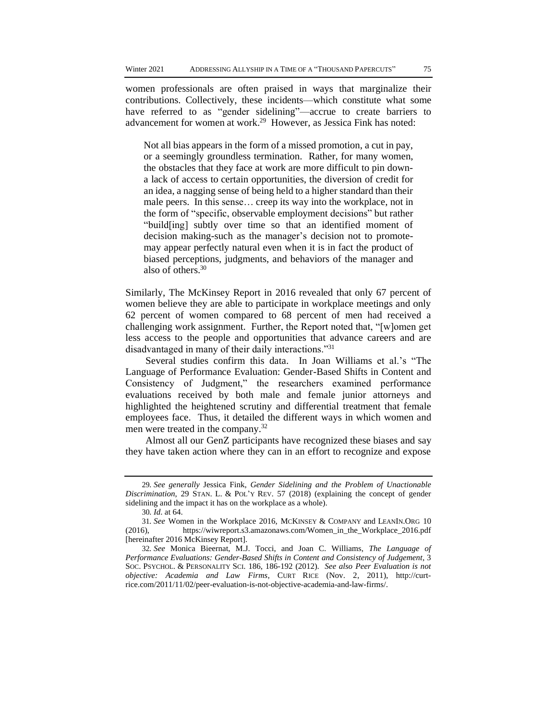women professionals are often praised in ways that marginalize their contributions. Collectively, these incidents—which constitute what some have referred to as "gender sidelining"—accrue to create barriers to advancement for women at work.<sup>29</sup> However, as Jessica Fink has noted:

Not all bias appears in the form of a missed promotion, a cut in pay, or a seemingly groundless termination. Rather, for many women, the obstacles that they face at work are more difficult to pin downa lack of access to certain opportunities, the diversion of credit for an idea, a nagging sense of being held to a higher standard than their male peers. In this sense… creep its way into the workplace, not in the form of "specific, observable employment decisions" but rather "build[ing] subtly over time so that an identified moment of decision making-such as the manager's decision not to promotemay appear perfectly natural even when it is in fact the product of biased perceptions, judgments, and behaviors of the manager and also of others.<sup>30</sup>

Similarly, The McKinsey Report in 2016 revealed that only 67 percent of women believe they are able to participate in workplace meetings and only 62 percent of women compared to 68 percent of men had received a challenging work assignment. Further, the Report noted that, "[w]omen get less access to the people and opportunities that advance careers and are disadvantaged in many of their daily interactions."<sup>31</sup>

Several studies confirm this data. In Joan Williams et al.'s "The Language of Performance Evaluation: Gender-Based Shifts in Content and Consistency of Judgment," the researchers examined performance evaluations received by both male and female junior attorneys and highlighted the heightened scrutiny and differential treatment that female employees face. Thus, it detailed the different ways in which women and men were treated in the company.<sup>32</sup>

Almost all our GenZ participants have recognized these biases and say they have taken action where they can in an effort to recognize and expose

<sup>29</sup>*. See generally* Jessica Fink, *Gender Sidelining and the Problem of Unactionable Discrimination*, 29 STAN. L. & POL'Y REV. 57 (2018) (explaining the concept of gender sidelining and the impact it has on the workplace as a whole).

<sup>30</sup>*. Id*. at 64.

<sup>31</sup>*. See* Women in the Workplace 2016, MCKINSEY & COMPANY and LEANIN.ORG 10 (2016), https://wiwreport.s3.amazonaws.com/Women\_in\_the\_Workplace\_2016.pdf [hereinafter 2016 McKinsey Report].

<sup>32</sup>*. See* Monica Bieernat, M.J. Tocci, and Joan C. Williams, *The Language of Performance Evaluations: Gender-Based Shifts in Content and Consistency of Judgement*, 3 SOC. PSYCHOL. & PERSONALITY SCI. 186, 186-192 (2012). *See also Peer Evaluation is not objective: Academia and Law Firms*, CURT RICE (Nov. 2, 2011), http://curtrice.com/2011/11/02/peer-evaluation-is-not-objective-academia-and-law-firms/.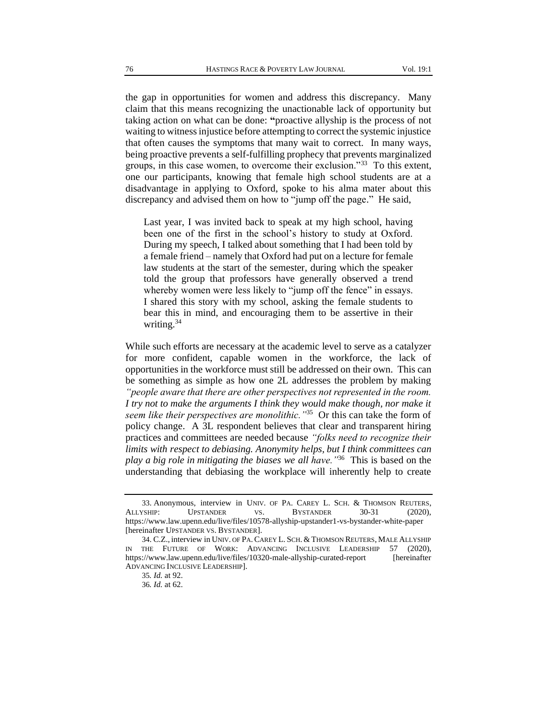the gap in opportunities for women and address this discrepancy. Many claim that this means recognizing the unactionable lack of opportunity but taking action on what can be done: **"**proactive allyship is the process of not waiting to witness injustice before attempting to correct the systemic injustice that often causes the symptoms that many wait to correct. In many ways, being proactive prevents a self-fulfilling prophecy that prevents marginalized groups, in this case women, to overcome their exclusion."<sup>33</sup> To this extent, one our participants, knowing that female high school students are at a disadvantage in applying to Oxford, spoke to his alma mater about this discrepancy and advised them on how to "jump off the page." He said,

Last year, I was invited back to speak at my high school, having been one of the first in the school's history to study at Oxford. During my speech, I talked about something that I had been told by a female friend – namely that Oxford had put on a lecture for female law students at the start of the semester, during which the speaker told the group that professors have generally observed a trend whereby women were less likely to "jump off the fence" in essays. I shared this story with my school, asking the female students to bear this in mind, and encouraging them to be assertive in their writing.<sup>34</sup>

While such efforts are necessary at the academic level to serve as a catalyzer for more confident, capable women in the workforce, the lack of opportunities in the workforce must still be addressed on their own. This can be something as simple as how one 2L addresses the problem by making *"people aware that there are other perspectives not represented in the room. I try not to make the arguments I think they would make though, nor make it seem like their perspectives are monolithic."*<sup>35</sup> Or this can take the form of policy change. A 3L respondent believes that clear and transparent hiring practices and committees are needed because *"folks need to recognize their limits with respect to debiasing. Anonymity helps, but I think committees can play a big role in mitigating the biases we all have."*<sup>36</sup> This is based on the understanding that debiasing the workplace will inherently help to create

<sup>33</sup>. Anonymous, interview in UNIV. OF PA. CAREY L. SCH. & THOMSON REUTERS, ALLYSHIP: UPSTANDER VS. BYSTANDER 30-31 (2020), https://www.law.upenn.edu/live/files/10578-allyship-upstander1-vs-bystander-white-paper [hereinafter UPSTANDER VS. BYSTANDER].

<sup>34</sup>. C.Z., interview in UNIV. OF PA.CAREY L. SCH. & THOMSON REUTERS, MALE ALLYSHIP IN THE FUTURE OF WORK: ADVANCING INCLUSIVE LEADERSHIP 57 (2020), https://www.law.upenn.edu/live/files/10320-male-allyship-curated-report [hereinafter ADVANCING INCLUSIVE LEADERSHIP].

<sup>35</sup>*. Id.* at 92.

<sup>36</sup>*. Id.* at 62.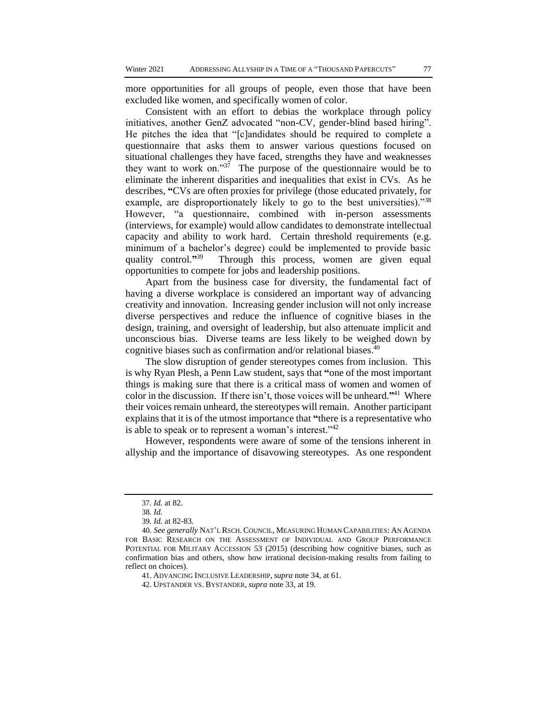more opportunities for all groups of people, even those that have been excluded like women, and specifically women of color.

Consistent with an effort to debias the workplace through policy initiatives, another GenZ advocated "non-CV, gender-blind based hiring". He pitches the idea that "[c]andidates should be required to complete a questionnaire that asks them to answer various questions focused on situational challenges they have faced, strengths they have and weaknesses they want to work on." $37$  The purpose of the questionnaire would be to eliminate the inherent disparities and inequalities that exist in CVs. As he describes, **"**CVs are often proxies for privilege (those educated privately, for example, are disproportionately likely to go to the best universities)."<sup>38</sup> However, "a questionnaire, combined with in-person assessments (interviews, for example) would allow candidates to demonstrate intellectual capacity and ability to work hard. Certain threshold requirements (e.g. minimum of a bachelor's degree) could be implemented to provide basic quality control.**"** Through this process, women are given equal opportunities to compete for jobs and leadership positions.

Apart from the business case for diversity, the fundamental fact of having a diverse workplace is considered an important way of advancing creativity and innovation. Increasing gender inclusion will not only increase diverse perspectives and reduce the influence of cognitive biases in the design, training, and oversight of leadership, but also attenuate implicit and unconscious bias. Diverse teams are less likely to be weighed down by cognitive biases such as confirmation and/or relational biases. $40$ 

The slow disruption of gender stereotypes comes from inclusion. This is why Ryan Plesh, a Penn Law student, says that **"**one of the most important things is making sure that there is a critical mass of women and women of color in the discussion. If there isn't, those voices will be unheard.**"** <sup>41</sup> Where their voices remain unheard, the stereotypes will remain. Another participant explains that it is of the utmost importance that **"**there is a representative who is able to speak or to represent a woman's interest."<sup>42</sup>

However, respondents were aware of some of the tensions inherent in allyship and the importance of disavowing stereotypes. As one respondent

<sup>37</sup>*. Id.* at 82.

<sup>38</sup>*. Id.*

<sup>39</sup>*. Id.* at 82-83.

<sup>40</sup>*. See generally* NAT'L RSCH.COUNCIL, MEASURING HUMAN CAPABILITIES: AN AGENDA FOR BASIC RESEARCH ON THE ASSESSMENT OF INDIVIDUAL AND GROUP PERFORMANCE POTENTIAL FOR MILITARY ACCESSION 53 (2015) (describing how cognitive biases, such as confirmation bias and others, show how irrational decision-making results from failing to reflect on choices).

<sup>41</sup>. ADVANCING INCLUSIVE LEADERSHIP,*supra* note 34, at 61.

<sup>42</sup>. UPSTANDER VS. BYSTANDER,*supra* note 33, at 19.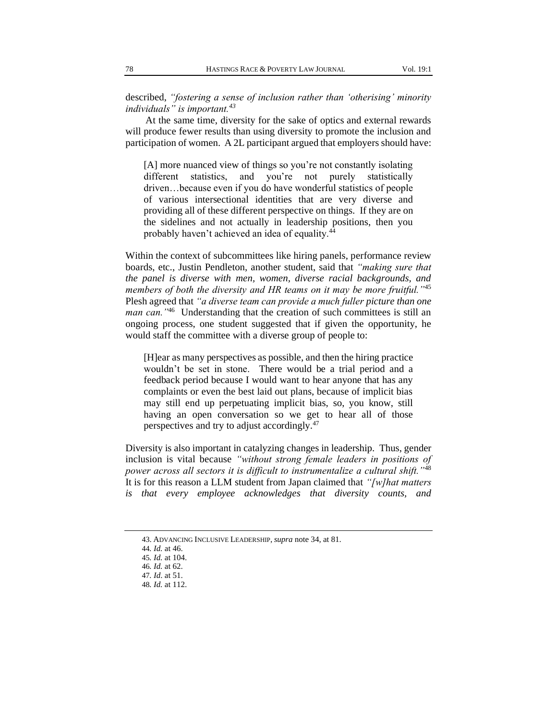described, *"fostering a sense of inclusion rather than 'otherising' minority individuals" is important.<sup>43</sup>*

At the same time, diversity for the sake of optics and external rewards will produce fewer results than using diversity to promote the inclusion and participation of women. A 2L participant argued that employers should have:

[A] more nuanced view of things so you're not constantly isolating different statistics, and you're not purely statistically driven…because even if you do have wonderful statistics of people of various intersectional identities that are very diverse and providing all of these different perspective on things. If they are on the sidelines and not actually in leadership positions, then you probably haven't achieved an idea of equality.<sup>44</sup>

Within the context of subcommittees like hiring panels, performance review boards, etc., Justin Pendleton, another student, said that *"making sure that the panel is diverse with men, women, diverse racial backgrounds, and members of both the diversity and HR teams on it may be more fruitful."*<sup>45</sup> Plesh agreed that *"a diverse team can provide a much fuller picture than one man can.*"<sup>46</sup> Understanding that the creation of such committees is still an ongoing process, one student suggested that if given the opportunity, he would staff the committee with a diverse group of people to:

[H]ear as many perspectives as possible, and then the hiring practice wouldn't be set in stone. There would be a trial period and a feedback period because I would want to hear anyone that has any complaints or even the best laid out plans, because of implicit bias may still end up perpetuating implicit bias, so, you know, still having an open conversation so we get to hear all of those perspectives and try to adjust accordingly.<sup>47</sup>

Diversity is also important in catalyzing changes in leadership. Thus, gender inclusion is vital because *"without strong female leaders in positions of power across all sectors it is difficult to instrumentalize a cultural shift."*<sup>48</sup> It is for this reason a LLM student from Japan claimed that *"[w]hat matters is that every employee acknowledges that diversity counts, and* 

<sup>43</sup>. ADVANCING INCLUSIVE LEADERSHIP,*supra* note 34, at 81.

<sup>44</sup>*. Id.* at 46.

<sup>45</sup>*. Id.* at 104.

<sup>46</sup>*. Id.* at 62.

<sup>47</sup>*. Id*. at 51.

<sup>48</sup>*. Id.* at 112.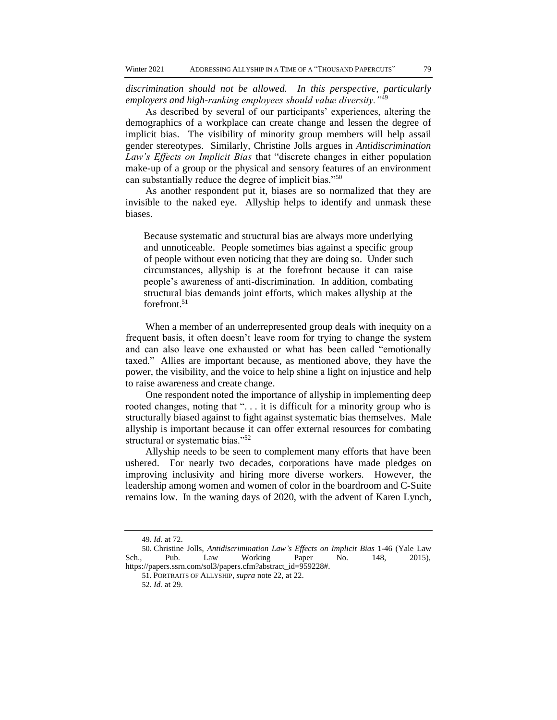*discrimination should not be allowed. In this perspective, particularly employers and high-ranking employees should value diversity."*<sup>49</sup>

As described by several of our participants' experiences, altering the demographics of a workplace can create change and lessen the degree of implicit bias. The visibility of minority group members will help assail gender stereotypes. Similarly, Christine Jolls argues in *Antidiscrimination Law's Effects on Implicit Bias* that "discrete changes in either population make-up of a group or the physical and sensory features of an environment can substantially reduce the degree of implicit bias."<sup>50</sup>

As another respondent put it, biases are so normalized that they are invisible to the naked eye. Allyship helps to identify and unmask these biases.

Because systematic and structural bias are always more underlying and unnoticeable. People sometimes bias against a specific group of people without even noticing that they are doing so. Under such circumstances, allyship is at the forefront because it can raise people's awareness of anti-discrimination. In addition, combating structural bias demands joint efforts, which makes allyship at the forefront.<sup>51</sup>

When a member of an underrepresented group deals with inequity on a frequent basis, it often doesn't leave room for trying to change the system and can also leave one exhausted or what has been called "emotionally taxed." Allies are important because, as mentioned above, they have the power, the visibility, and the voice to help shine a light on injustice and help to raise awareness and create change.

One respondent noted the importance of allyship in implementing deep rooted changes, noting that ". . . it is difficult for a minority group who is structurally biased against to fight against systematic bias themselves. Male allyship is important because it can offer external resources for combating structural or systematic bias."<sup>52</sup>

Allyship needs to be seen to complement many efforts that have been ushered. For nearly two decades, corporations have made pledges on improving inclusivity and hiring more diverse workers. However, the leadership among women and women of color in the boardroom and C-Suite remains low. In the waning days of 2020, with the advent of Karen Lynch,

<sup>49</sup>*. Id.* at 72.

<sup>50</sup>. Christine Jolls, *Antidiscrimination Law's Effects on Implicit Bias* 1-46 (Yale Law Sch., Pub. Law Working Paper No. 148, 2015), https://papers.ssrn.com/sol3/papers.cfm?abstract\_id=959228#.

<sup>51</sup>. PORTRAITS OF ALLYSHIP, *supra* note 22, at 22.

<sup>52</sup>*. Id.* at 29.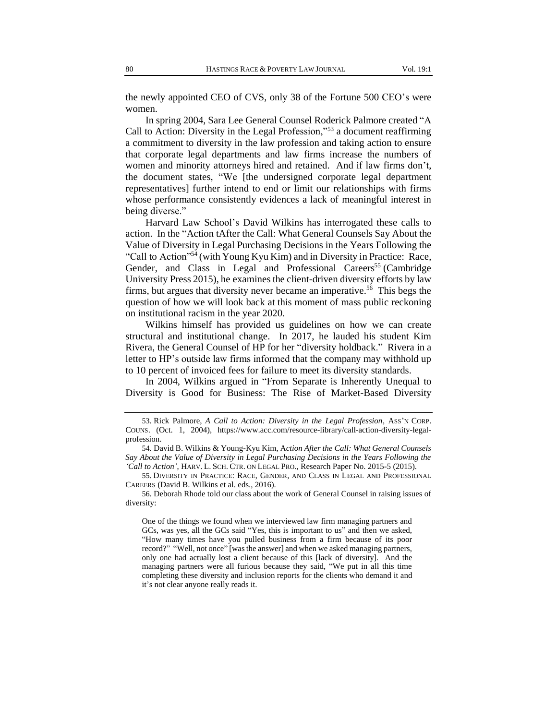the newly appointed CEO of CVS, only 38 of the Fortune 500 CEO's were women.

In spring 2004, Sara Lee General Counsel Roderick Palmore created "A Call to Action: Diversity in the Legal Profession,"<sup>53</sup> a document reaffirming a commitment to diversity in the law profession and taking action to ensure that corporate legal departments and law firms increase the numbers of women and minority attorneys hired and retained. And if law firms don't, the document states, "We [the undersigned corporate legal department representatives] further intend to end or limit our relationships with firms whose performance consistently evidences a lack of meaningful interest in being diverse."

Harvard Law School's David Wilkins has interrogated these calls to action. In the "Action tAfter the Call: What General Counsels Say About the Value of Diversity in Legal Purchasing Decisions in the Years Following the "Call to Action"<sup>54</sup> (with Young Kyu Kim) and in Diversity in Practice: Race, Gender, and Class in Legal and Professional Careers<sup>55</sup> (Cambridge University Press 2015), he examines the client-driven diversity efforts by law firms, but argues that diversity never became an imperative.<sup>56</sup> This begs the question of how we will look back at this moment of mass public reckoning on institutional racism in the year 2020.

Wilkins himself has provided us guidelines on how we can create structural and institutional change. In 2017, he lauded his student Kim Rivera, the General Counsel of HP for her "diversity holdback." Rivera in a letter to HP's outside law firms informed that the company may withhold up to 10 percent of invoiced fees for failure to meet its diversity standards.

In 2004, Wilkins argued in "From Separate is Inherently Unequal to Diversity is Good for Business: The Rise of Market-Based Diversity

<sup>53</sup>. Rick Palmore, *A Call to Action: Diversity in the Legal Profession*, ASS'N CORP. COUNS. (Oct. 1, 2004), https://www.acc.com/resource-library/call-action-diversity-legalprofession.

<sup>54</sup>. David B. Wilkins & Young-Kyu Kim, A*ction After the Call: What General Counsels Say About the Value of Diversity in Legal Purchasing Decisions in the Years Following the 'Call to Action'*, HARV. L. SCH. CTR. ON LEGAL PRO., Research Paper No. 2015-5 (2015).

<sup>55</sup>. DIVERSITY IN PRACTICE: RACE, GENDER, AND CLASS IN LEGAL AND PROFESSIONAL CAREERS (David B. Wilkins et al. eds., 2016).

<sup>56</sup>. Deborah Rhode told our class about the work of General Counsel in raising issues of diversity:

One of the things we found when we interviewed law firm managing partners and GCs, was yes, all the GCs said "Yes, this is important to us" and then we asked, "How many times have you pulled business from a firm because of its poor record?" "Well, not once" [was the answer] and when we asked managing partners, only one had actually lost a client because of this [lack of diversity]. And the managing partners were all furious because they said, "We put in all this time completing these diversity and inclusion reports for the clients who demand it and it's not clear anyone really reads it.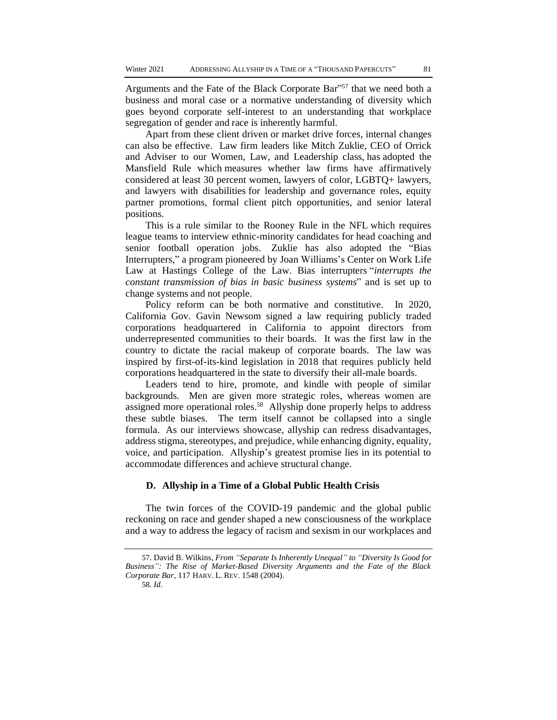Arguments and the Fate of the Black Corporate Bar<sup>357</sup> that we need both a business and moral case or a normative understanding of diversity which goes beyond corporate self-interest to an understanding that workplace segregation of gender and race is inherently harmful.

Apart from these client driven or market drive forces, internal changes can also be effective. Law firm leaders like Mitch Zuklie, CEO of Orrick and Adviser to our Women, Law, and Leadership class, has adopted the Mansfield Rule which measures whether law firms have affirmatively considered at least 30 percent women, lawyers of color, LGBTQ+ lawyers, and lawyers with disabilities for leadership and governance roles, equity partner promotions, formal client pitch opportunities, and senior lateral positions.

This is a rule similar to the Rooney Rule in the NFL which requires league teams to interview ethnic-minority candidates for head coaching and senior football operation jobs. Zuklie has also adopted the "Bias Interrupters," a program pioneered by Joan Williams's Center on Work Life Law at Hastings College of the Law. Bias interrupters "*interrupts the constant transmission of bias in basic business systems*" and is set up to change systems and not people.

Policy reform can be both normative and constitutive. In 2020, California Gov. Gavin Newsom signed a law requiring publicly traded corporations headquartered in California to appoint directors from underrepresented communities to their boards. It was the first law in the country to dictate the racial makeup of corporate boards. The law was inspired by first-of-its-kind legislation in 2018 that requires publicly held corporations headquartered in the state to diversify their all-male boards.

Leaders tend to hire, promote, and kindle with people of similar backgrounds. Men are given more strategic roles, whereas women are assigned more operational roles.<sup>58</sup> Allyship done properly helps to address these subtle biases. The term itself cannot be collapsed into a single formula. As our interviews showcase, allyship can redress disadvantages, address stigma, stereotypes, and prejudice, while enhancing dignity, equality, voice, and participation. Allyship's greatest promise lies in its potential to accommodate differences and achieve structural change.

#### **D. Allyship in a Time of a Global Public Health Crisis**

The twin forces of the COVID-19 pandemic and the global public reckoning on race and gender shaped a new consciousness of the workplace and a way to address the legacy of racism and sexism in our workplaces and

58*. Id*.

<sup>57</sup>. David B. Wilkins, *From "Separate Is Inherently Unequal" to "Diversity Is Good for Business": The Rise of Market-Based Diversity Arguments and the Fate of the Black Corporate Bar*, 117 HARV. L. REV. 1548 (2004).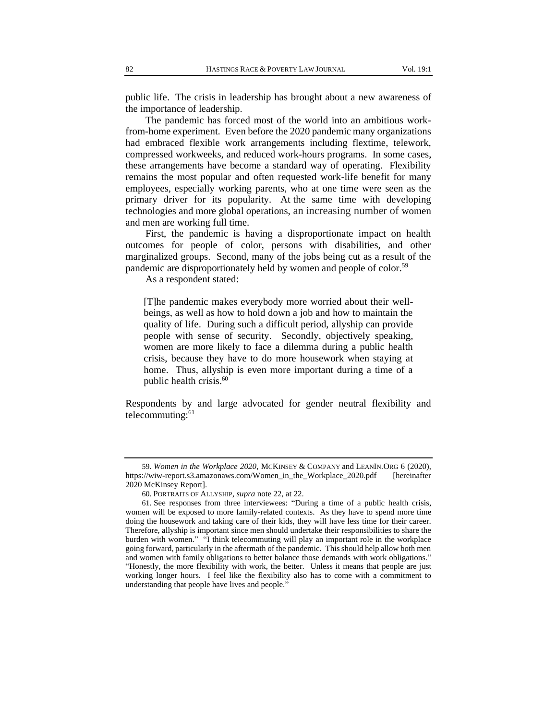public life. The crisis in leadership has brought about a new awareness of the importance of leadership.

The pandemic has forced most of the world into an ambitious workfrom-home experiment. Even before the 2020 pandemic many organizations had embraced flexible work arrangements including flextime, telework, compressed workweeks, and reduced work-hours programs. In some cases, these arrangements have become a standard way of operating. Flexibility remains the most popular and often requested work-life benefit for many employees, especially working parents, who at one time were seen as the primary driver for its popularity. At the same time with developing technologies and more global operations, an increasing number of women and men are working full time.

First, the pandemic is having a disproportionate impact on health outcomes for people of color, persons with disabilities, and other marginalized groups. Second, many of the jobs being cut as a result of the pandemic are disproportionately held by women and people of color.<sup>59</sup>

As a respondent stated:

[T]he pandemic makes everybody more worried about their wellbeings, as well as how to hold down a job and how to maintain the quality of life. During such a difficult period, allyship can provide people with sense of security. Secondly, objectively speaking, women are more likely to face a dilemma during a public health crisis, because they have to do more housework when staying at home. Thus, allyship is even more important during a time of a public health crisis. $60$ 

Respondents by and large advocated for gender neutral flexibility and telecommuting:<sup>61</sup>

<sup>59</sup>*. Women in the Workplace 2020*, MCKINSEY & COMPANY and LEANIN.ORG 6 (2020), https://wiw-report.s3.amazonaws.com/Women\_in\_the\_Workplace\_2020.pdf [hereinafter 2020 McKinsey Report].

<sup>60</sup>. PORTRAITS OF ALLYSHIP, *supra* note 22, at 22.

<sup>61</sup>. See responses from three interviewees: "During a time of a public health crisis, women will be exposed to more family-related contexts. As they have to spend more time doing the housework and taking care of their kids, they will have less time for their career. Therefore, allyship is important since men should undertake their responsibilities to share the burden with women." "I think telecommuting will play an important role in the workplace going forward, particularly in the aftermath of the pandemic. This should help allow both men and women with family obligations to better balance those demands with work obligations." "Honestly, the more flexibility with work, the better. Unless it means that people are just working longer hours. I feel like the flexibility also has to come with a commitment to understanding that people have lives and people."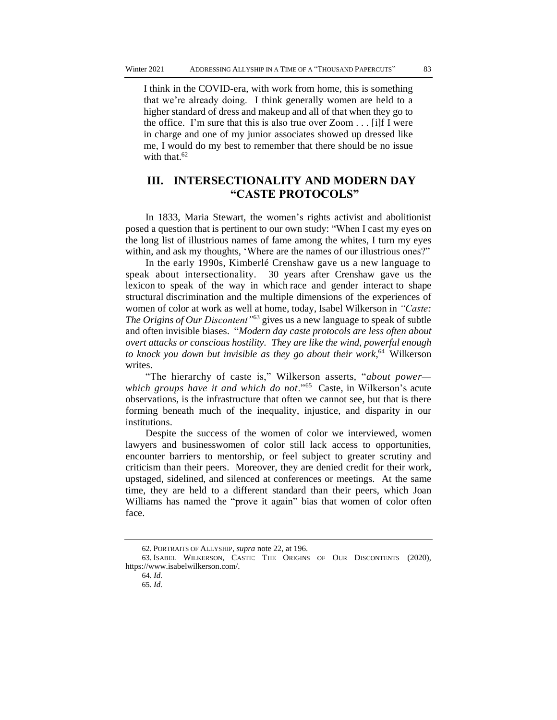I think in the COVID-era, with work from home, this is something that we're already doing. I think generally women are held to a higher standard of dress and makeup and all of that when they go to the office. I'm sure that this is also true over Zoom . . . [i]f I were in charge and one of my junior associates showed up dressed like me, I would do my best to remember that there should be no issue with that. $62$ 

# **III. INTERSECTIONALITY AND MODERN DAY "CASTE PROTOCOLS"**

In 1833, Maria Stewart, the women's rights activist and abolitionist posed a question that is pertinent to our own study: "When I cast my eyes on the long list of illustrious names of fame among the whites, I turn my eyes within, and ask my thoughts, 'Where are the names of our illustrious ones?"

In the early 1990s, Kimberlé Crenshaw gave us a new language to speak about intersectionality. 30 years after Crenshaw gave us the lexicon to speak of the way in which race and gender interact to shape structural discrimination and the multiple dimensions of the experiences of women of color at work as well at home, today, Isabel Wilkerson in *"Caste: The Origins of Our Discontent"*<sup>63</sup> gives us a new language to speak of subtle and often invisible biases. "*Modern day caste protocols are less often about overt attacks or conscious hostility. They are like the wind, powerful enough to knock you down but invisible as they go about their work*, 64 Wilkerson writes.

"The hierarchy of caste is," Wilkerson asserts, "*about power which groups have it and which do not*."<sup>65</sup> Caste, in Wilkerson's acute observations, is the infrastructure that often we cannot see, but that is there forming beneath much of the inequality, injustice, and disparity in our institutions.

Despite the success of the women of color we interviewed, women lawyers and businesswomen of color still lack access to opportunities, encounter barriers to mentorship, or feel subject to greater scrutiny and criticism than their peers. Moreover, they are denied credit for their work, upstaged, sidelined, and silenced at conferences or meetings. At the same time, they are held to a different standard than their peers, which Joan Williams has named the "prove it again" bias that women of color often face.

<sup>62</sup>. PORTRAITS OF ALLYSHIP, *supra* note 22, at 196.

<sup>63</sup>. ISABEL WILKERSON, CASTE: THE ORIGINS OF OUR DISCONTENTS (2020), https://www.isabelwilkerson.com/.

<sup>64</sup>*. Id.*

<sup>65</sup>*. Id.*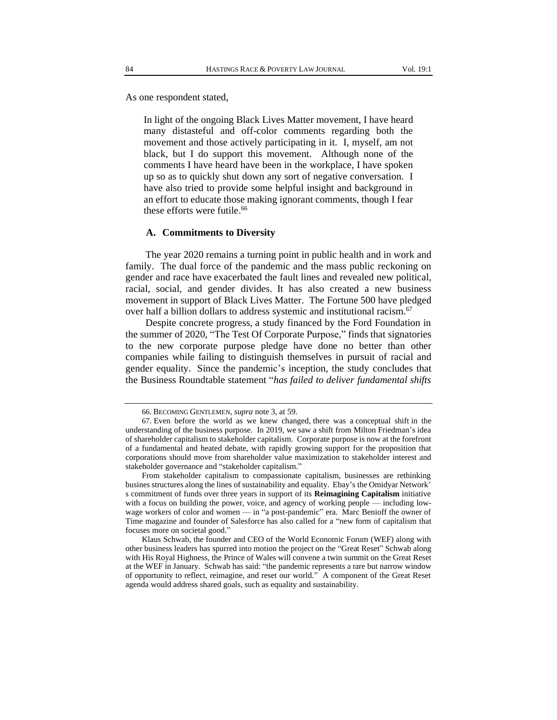As one respondent stated,

In light of the ongoing Black Lives Matter movement, I have heard many distasteful and off-color comments regarding both the movement and those actively participating in it. I, myself, am not black, but I do support this movement. Although none of the comments I have heard have been in the workplace, I have spoken up so as to quickly shut down any sort of negative conversation. I have also tried to provide some helpful insight and background in an effort to educate those making ignorant comments, though I fear these efforts were futile. 66

#### **A. Commitments to Diversity**

The year 2020 remains a turning point in public health and in work and family. The dual force of the pandemic and the mass public reckoning on gender and race have exacerbated the fault lines and revealed new political, racial, social, and gender divides. It has also created a new business movement in support of Black Lives Matter. The Fortune 500 have pledged over half a billion dollars to address systemic and institutional racism.<sup>67</sup>

Despite concrete progress, a study financed by the Ford Foundation in the summer of 2020, "The Test Of Corporate Purpose," finds that signatories to the new corporate purpose pledge have done no better than other companies while failing to distinguish themselves in pursuit of racial and gender equality. Since the pandemic's inception, the study concludes that the Business Roundtable statement "*has failed to deliver fundamental shifts*

<sup>66</sup>. BECOMING GENTLEMEN, *supra* note 3, at 59.

<sup>67</sup>. Even before the world as we knew changed, there was a conceptual shift in the understanding of the business purpose. In 2019, we saw a shift from Milton Friedman's idea of shareholder capitalism to stakeholder capitalism. Corporate purpose is now at the forefront of a fundamental and heated debate, with rapidly growing support for the proposition that corporations should move from shareholder value maximization to stakeholder interest and stakeholder governance and "stakeholder capitalism."

From stakeholder capitalism to compassionate capitalism, businesses are rethinking busines structures along the lines of sustainability and equality. Ebay's the Omidyar Network' s commitment of funds over three years in support of its **Reimagining Capitalism** initiative with a focus on building the power, voice, and agency of working people — including lowwage workers of color and women — in "a post-pandemic" era. Marc Benioff the owner of Time magazine and founder of Salesforce has also called for a "new form of capitalism that focuses more on societal good."

Klaus Schwab, the founder and CEO of the World Economic Forum (WEF) along with other business leaders has spurred into motion the project on the "Great Reset" Schwab along with His Royal Highness, the Prince of Wales will convene a twin summit on the Great Reset at the WEF in January. Schwab has said: "the pandemic represents a rare but narrow window of opportunity to reflect, reimagine, and reset our world." A component of the Great Reset agenda would address shared goals, such as equality and sustainability.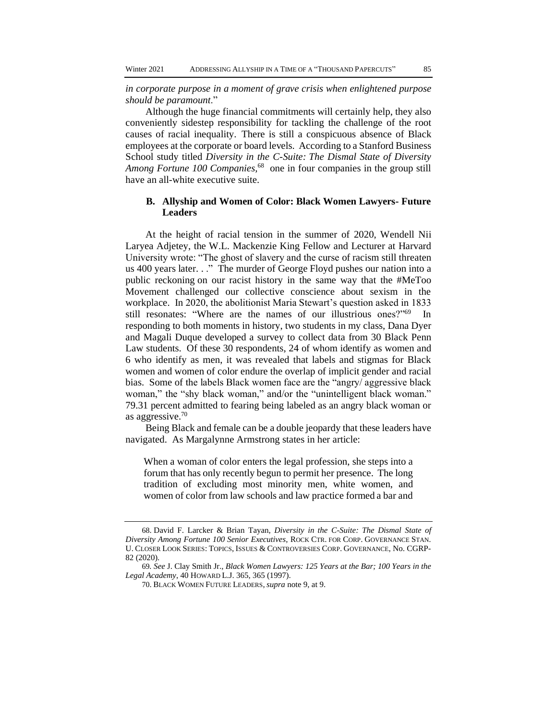*in corporate purpose in a moment of grave crisis when enlightened purpose should be paramount*."

Although the huge financial commitments will certainly help, they also conveniently sidestep responsibility for tackling the challenge of the root causes of racial inequality. There is still a conspicuous absence of Black employees at the corporate or board levels. According to a Stanford Business School study titled *Diversity in the C-Suite: The Dismal State of Diversity Among Fortune 100 Companies,* <sup>68</sup> one in four companies in the group still have an all-white executive suite.

### **B. Allyship and Women of Color: Black Women Lawyers- Future Leaders**

At the height of racial tension in the summer of 2020, Wendell Nii Laryea Adjetey, the W.L. Mackenzie King Fellow and Lecturer at Harvard University wrote: "The ghost of slavery and the curse of racism still threaten us 400 years later. . ." The murder of George Floyd pushes our nation into a public reckoning on our racist history in the same way that the #MeToo Movement challenged our collective conscience about sexism in the workplace. In 2020, the abolitionist Maria Stewart's question asked in 1833 still resonates: "Where are the names of our illustrious ones?"<sup>69</sup> In responding to both moments in history, two students in my class, Dana Dyer and Magali Duque developed a survey to collect data from 30 Black Penn Law students. Of these 30 respondents, 24 of whom identify as women and 6 who identify as men, it was revealed that labels and stigmas for Black women and women of color endure the overlap of implicit gender and racial bias. Some of the labels Black women face are the "angry/ aggressive black woman," the "shy black woman," and/or the "unintelligent black woman." 79.31 percent admitted to fearing being labeled as an angry black woman or as aggressive. $70$ 

Being Black and female can be a double jeopardy that these leaders have navigated. As Margalynne Armstrong states in her article:

When a woman of color enters the legal profession, she steps into a forum that has only recently begun to permit her presence. The long tradition of excluding most minority men, white women, and women of color from law schools and law practice formed a bar and

<sup>68</sup>. David F. Larcker & Brian Tayan, *Diversity in the C-Suite: The Dismal State of Diversity Among Fortune 100 Senior Executives*, ROCK CTR. FOR CORP. GOVERNANCE STAN. U. CLOSER LOOK SERIES: TOPICS, ISSUES & CONTROVERSIES CORP. GOVERNANCE, No. CGRP-82 (2020).

<sup>69</sup>*. See* J. Clay Smith Jr., *Black Women Lawyers: 125 Years at the Bar; 100 Years in the Legal Academy*, 40 HOWARD L.J. 365, 365 (1997).

<sup>70</sup>. BLACK WOMEN FUTURE LEADERS,*supra* note 9, at 9.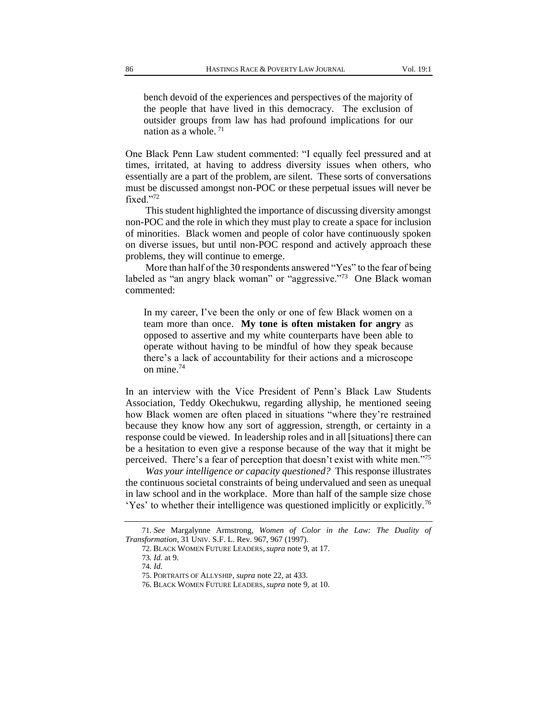bench devoid of the experiences and perspectives of the majority of the people that have lived in this democracy. The exclusion of outsider groups from law has had profound implications for our nation as a whole. <sup>71</sup>

One Black Penn Law student commented: "I equally feel pressured and at times, irritated, at having to address diversity issues when others, who essentially are a part of the problem, are silent. These sorts of conversations must be discussed amongst non-POC or these perpetual issues will never be fixed."<sup>72</sup>

This student highlighted the importance of discussing diversity amongst non-POC and the role in which they must play to create a space for inclusion of minorities. Black women and people of color have continuously spoken on diverse issues, but until non-POC respond and actively approach these problems, they will continue to emerge.

More than half of the 30 respondents answered "Yes" to the fear of being labeled as "an angry black woman" or "aggressive."<sup>73</sup> One Black woman commented:

In my career, I've been the only or one of few Black women on a team more than once. **My tone is often mistaken for angry** as opposed to assertive and my white counterparts have been able to operate without having to be mindful of how they speak because there's a lack of accountability for their actions and a microscope on mine.<sup>74</sup>

In an interview with the Vice President of Penn's Black Law Students Association, Teddy Okechukwu, regarding allyship, he mentioned seeing how Black women are often placed in situations "where they're restrained because they know how any sort of aggression, strength, or certainty in a response could be viewed. In leadership roles and in all [situations] there can be a hesitation to even give a response because of the way that it might be perceived. There's a fear of perception that doesn't exist with white men."<sup>75</sup>

*Was your intelligence or capacity questioned?* This response illustrates the continuous societal constraints of being undervalued and seen as unequal in law school and in the workplace. More than half of the sample size chose 'Yes' to whether their intelligence was questioned implicitly or explicitly.<sup>76</sup>

<sup>71</sup>*. See* Margalynne Armstrong, *Women of Color in the Law: The Duality of Transformation*, 31 UNIV. S.F. L. Rev. 967, 967 (1997).

<sup>72</sup>. BLACK WOMEN FUTURE LEADERS,*supra* note 9, at 17.

<sup>73</sup>*. Id.* at 9.

<sup>74</sup>*. Id.*

<sup>75</sup>. PORTRAITS OF ALLYSHIP, *supra* note 22, at 433.

<sup>76</sup>. BLACK WOMEN FUTURE LEADERS,*supra* note 9, at 10.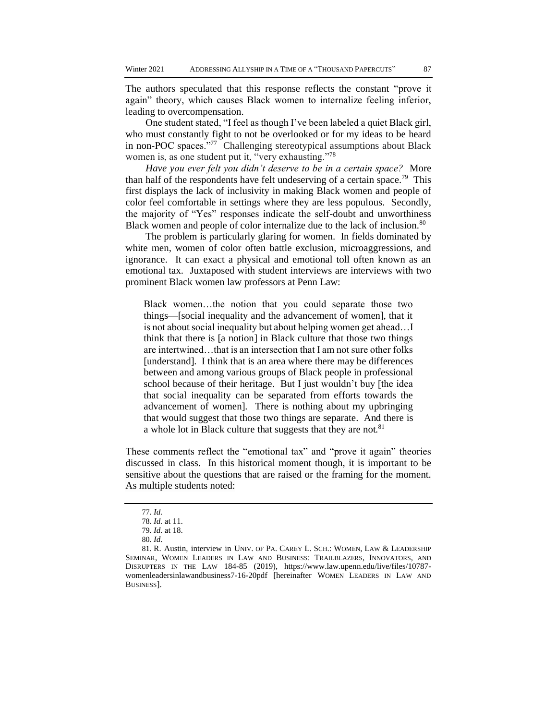The authors speculated that this response reflects the constant "prove it again" theory, which causes Black women to internalize feeling inferior, leading to overcompensation.

One student stated, "I feel as though I've been labeled a quiet Black girl, who must constantly fight to not be overlooked or for my ideas to be heard in non-POC spaces."<sup>77</sup> Challenging stereotypical assumptions about Black women is, as one student put it, "very exhausting."<sup>78</sup>

*Have you ever felt you didn't deserve to be in a certain space?* More than half of the respondents have felt undeserving of a certain space.<sup>79</sup> This first displays the lack of inclusivity in making Black women and people of color feel comfortable in settings where they are less populous. Secondly, the majority of "Yes" responses indicate the self-doubt and unworthiness Black women and people of color internalize due to the lack of inclusion.<sup>80</sup>

The problem is particularly glaring for women. In fields dominated by white men, women of color often battle exclusion, microaggressions, and ignorance. It can exact a physical and emotional toll often known as an emotional tax. Juxtaposed with student interviews are interviews with two prominent Black women law professors at Penn Law:

Black women…the notion that you could separate those two things—[social inequality and the advancement of women], that it is not about social inequality but about helping women get ahead…I think that there is [a notion] in Black culture that those two things are intertwined…that is an intersection that I am not sure other folks [understand]. I think that is an area where there may be differences between and among various groups of Black people in professional school because of their heritage. But I just wouldn't buy [the idea that social inequality can be separated from efforts towards the advancement of women]. There is nothing about my upbringing that would suggest that those two things are separate. And there is a whole lot in Black culture that suggests that they are not.<sup>81</sup>

These comments reflect the "emotional tax" and "prove it again" theories discussed in class. In this historical moment though, it is important to be sensitive about the questions that are raised or the framing for the moment. As multiple students noted:

<sup>77</sup>*. Id.*

<sup>78</sup>*. Id.* at 11.

<sup>79</sup>*. Id*. at 18.

<sup>80</sup>*. Id*.

<sup>81</sup>. R. Austin, interview in UNIV. OF PA. CAREY L. SCH.: WOMEN, LAW & LEADERSHIP SEMINAR, WOMEN LEADERS IN LAW AND BUSINESS: TRAILBLAZERS, INNOVATORS, AND DISRUPTERS IN THE LAW 184-85 (2019), https://www.law.upenn.edu/live/files/10787 womenleadersinlawandbusiness7-16-20pdf [hereinafter WOMEN LEADERS IN LAW AND BUSINESS].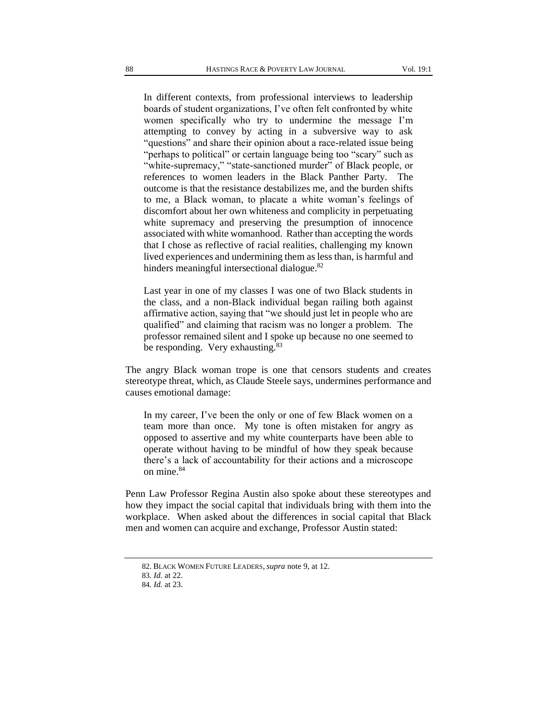In different contexts, from professional interviews to leadership boards of student organizations, I've often felt confronted by white women specifically who try to undermine the message I'm attempting to convey by acting in a subversive way to ask "questions" and share their opinion about a race-related issue being "perhaps to political" or certain language being too "scary" such as "white-supremacy," "state-sanctioned murder" of Black people, or references to women leaders in the Black Panther Party. The outcome is that the resistance destabilizes me, and the burden shifts to me, a Black woman, to placate a white woman's feelings of discomfort about her own whiteness and complicity in perpetuating white supremacy and preserving the presumption of innocence associated with white womanhood. Rather than accepting the words that I chose as reflective of racial realities, challenging my known lived experiences and undermining them as less than, is harmful and hinders meaningful intersectional dialogue.<sup>82</sup>

Last year in one of my classes I was one of two Black students in the class, and a non-Black individual began railing both against affirmative action, saying that "we should just let in people who are qualified" and claiming that racism was no longer a problem. The professor remained silent and I spoke up because no one seemed to be responding. Very exhausting. $83$ 

The angry Black woman trope is one that censors students and creates stereotype threat, which, as Claude Steele says, undermines performance and causes emotional damage:

In my career, I've been the only or one of few Black women on a team more than once. My tone is often mistaken for angry as opposed to assertive and my white counterparts have been able to operate without having to be mindful of how they speak because there's a lack of accountability for their actions and a microscope on mine.<sup>84</sup>

Penn Law Professor Regina Austin also spoke about these stereotypes and how they impact the social capital that individuals bring with them into the workplace. When asked about the differences in social capital that Black men and women can acquire and exchange, Professor Austin stated:

<sup>82</sup>. BLACK WOMEN FUTURE LEADERS,*supra* note 9, at 12.

<sup>83</sup>*. Id.* at 22.

<sup>84</sup>*. Id.* at 23.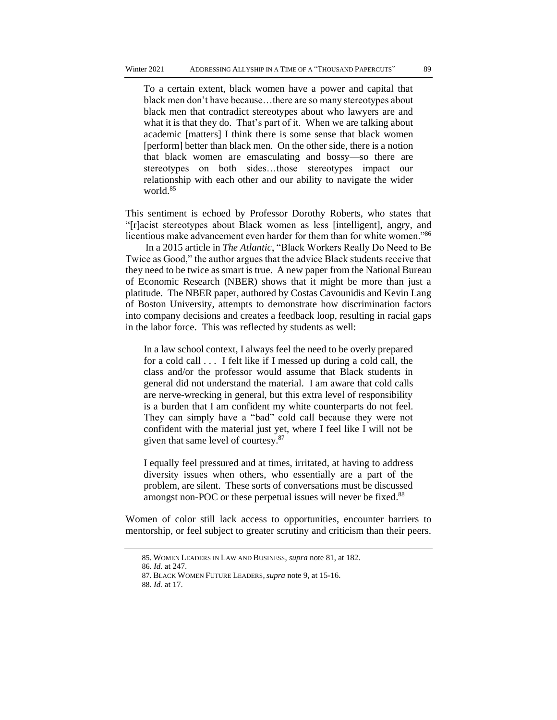To a certain extent, black women have a power and capital that black men don't have because…there are so many stereotypes about black men that contradict stereotypes about who lawyers are and what it is that they do. That's part of it. When we are talking about academic [matters] I think there is some sense that black women [perform] better than black men. On the other side, there is a notion that black women are emasculating and bossy—so there are stereotypes on both sides…those stereotypes impact our relationship with each other and our ability to navigate the wider world.<sup>85</sup>

This sentiment is echoed by Professor Dorothy Roberts, who states that "[r]acist stereotypes about Black women as less [intelligent], angry, and licentious make advancement even harder for them than for white women."<sup>86</sup>

In a 2015 article in *The Atlantic*, "Black Workers Really Do Need to Be Twice as Good," the author argues that the advice Black students receive that they need to be twice as smart is true. [A new paper](http://www.nber.org/papers/w21612) from the National Bureau of Economic Research (NBER) shows that it might be more than just a platitude. The NBER paper, authored by Costas Cavounidis and Kevin Lang of Boston University, attempts to demonstrate how discrimination factors into company decisions and creates a feedback loop, resulting in racial gaps in the labor force. This was reflected by students as well:

In a law school context, I always feel the need to be overly prepared for a cold call . . . I felt like if I messed up during a cold call, the class and/or the professor would assume that Black students in general did not understand the material. I am aware that cold calls are nerve-wrecking in general, but this extra level of responsibility is a burden that I am confident my white counterparts do not feel. They can simply have a "bad" cold call because they were not confident with the material just yet, where I feel like I will not be given that same level of courtesy.<sup>87</sup>

I equally feel pressured and at times, irritated, at having to address diversity issues when others, who essentially are a part of the problem, are silent. These sorts of conversations must be discussed amongst non-POC or these perpetual issues will never be fixed.<sup>88</sup>

Women of color still lack access to opportunities, encounter barriers to mentorship, or feel subject to greater scrutiny and criticism than their peers.

<sup>85</sup>. WOMEN LEADERS IN LAW AND BUSINESS, *supra* note 81, at 182.

<sup>86</sup>*. Id.* at 247.

<sup>87</sup>. BLACK WOMEN FUTURE LEADERS,*supra* note 9, at 15-16.

<sup>88</sup>*. Id.* at 17.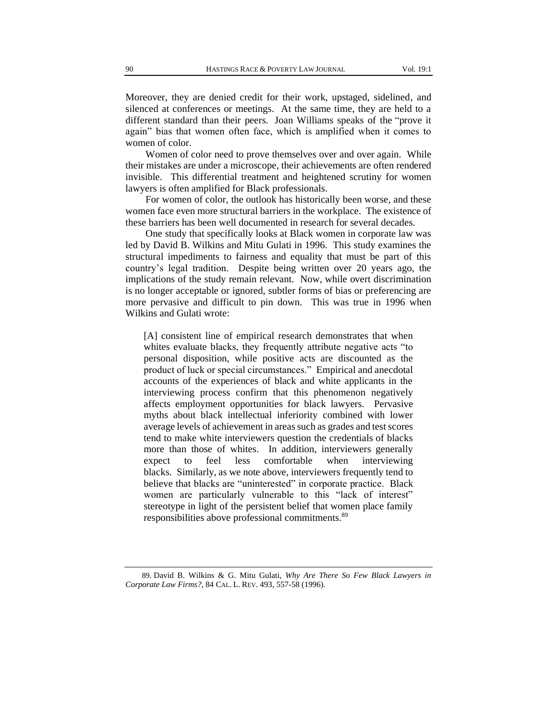Moreover, they are denied credit for their work, upstaged, sidelined, and silenced at conferences or meetings. At the same time, they are held to a different standard than their peers. Joan Williams speaks of the "prove it again" bias that women often face, which is amplified when it comes to women of color.

Women of color need to prove themselves over and over again. While their mistakes are under a microscope, their achievements are often rendered invisible. This differential treatment and heightened scrutiny for women lawyers is often amplified for Black professionals.

For women of color, the outlook has historically been worse, and these women face even more structural barriers in the workplace. The existence of these barriers has been well documented in research for several decades.

One study that specifically looks at Black women in corporate law was led by David B. Wilkins and Mitu Gulati in 1996. This study examines the structural impediments to fairness and equality that must be part of this country's legal tradition. Despite being written over 20 years ago, the implications of the study remain relevant. Now, while overt discrimination is no longer acceptable or ignored, subtler forms of bias or preferencing are more pervasive and difficult to pin down. This was true in 1996 when Wilkins and Gulati wrote:

[A] consistent line of empirical research demonstrates that when whites evaluate blacks, they frequently attribute negative acts "to personal disposition, while positive acts are discounted as the product of luck or special circumstances." Empirical and anecdotal accounts of the experiences of black and white applicants in the interviewing process confirm that this phenomenon negatively affects employment opportunities for black lawyers. Pervasive myths about black intellectual inferiority combined with lower average levels of achievement in areas such as grades and test scores tend to make white interviewers question the credentials of blacks more than those of whites. In addition, interviewers generally expect to feel less comfortable when interviewing blacks. Similarly, as we note above, interviewers frequently tend to believe that blacks are "uninterested" in corporate practice. Black women are particularly vulnerable to this "lack of interest" stereotype in light of the persistent belief that women place family responsibilities above professional commitments.<sup>89</sup>

<sup>89</sup>. David B. Wilkins & G. Mitu Gulati, *Why Are There So Few Black Lawyers in Corporate Law Firms?*, 84 CAL. L. REV. 493, 557-58 (1996).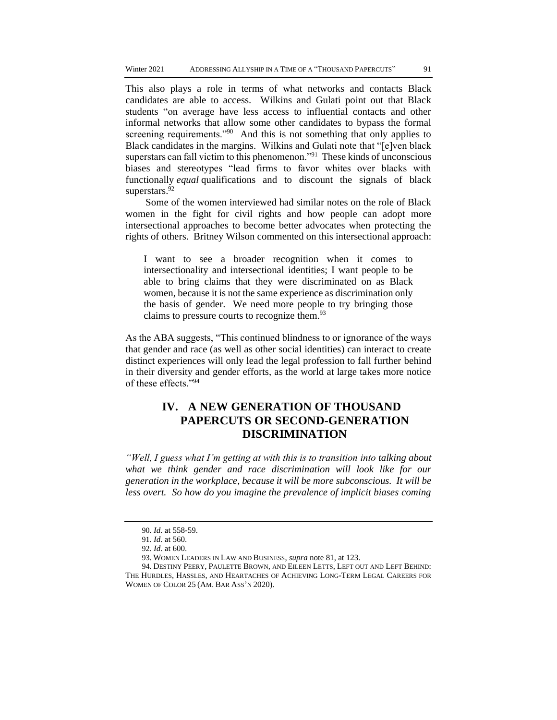This also plays a role in terms of what networks and contacts Black candidates are able to access. Wilkins and Gulati point out that Black students "on average have less access to influential contacts and other informal networks that allow some other candidates to bypass the formal screening requirements."<sup>90</sup> And this is not something that only applies to Black candidates in the margins. Wilkins and Gulati note that "[e]ven black superstars can fall victim to this phenomenon."<sup>91</sup> These kinds of unconscious biases and stereotypes "lead firms to favor whites over blacks with functionally *equal* qualifications and to discount the signals of black superstars.<sup>92</sup>

Some of the women interviewed had similar notes on the role of Black women in the fight for civil rights and how people can adopt more intersectional approaches to become better advocates when protecting the rights of others. Britney Wilson commented on this intersectional approach:

I want to see a broader recognition when it comes to intersectionality and intersectional identities; I want people to be able to bring claims that they were discriminated on as Black women, because it is not the same experience as discrimination only the basis of gender. We need more people to try bringing those claims to pressure courts to recognize them.<sup>93</sup>

As the ABA suggests, "This continued blindness to or ignorance of the ways that gender and race (as well as other social identities) can interact to create distinct experiences will only lead the legal profession to fall further behind in their diversity and gender efforts, as the world at large takes more notice of these effects."<sup>94</sup>

# **IV. A NEW GENERATION OF THOUSAND PAPERCUTS OR SECOND-GENERATION DISCRIMINATION**

*"Well, I guess what I'm getting at with this is to transition into talking about what we think gender and race discrimination will look like for our generation in the workplace, because it will be more subconscious. It will be less overt. So how do you imagine the prevalence of implicit biases coming* 

<sup>90</sup>*. Id*. at 558-59.

<sup>91</sup>*. Id*. at 560.

<sup>92</sup>*. Id*. at 600.

<sup>93</sup>. WOMEN LEADERS IN LAW AND BUSINESS, *supra* note 81, at 123.

<sup>94</sup>. DESTINY PEERY, PAULETTE BROWN, AND EILEEN LETTS, LEFT OUT AND LEFT BEHIND: THE HURDLES, HASSLES, AND HEARTACHES OF ACHIEVING LONG-TERM LEGAL CAREERS FOR WOMEN OF COLOR 25 (AM. BAR ASS'N 2020).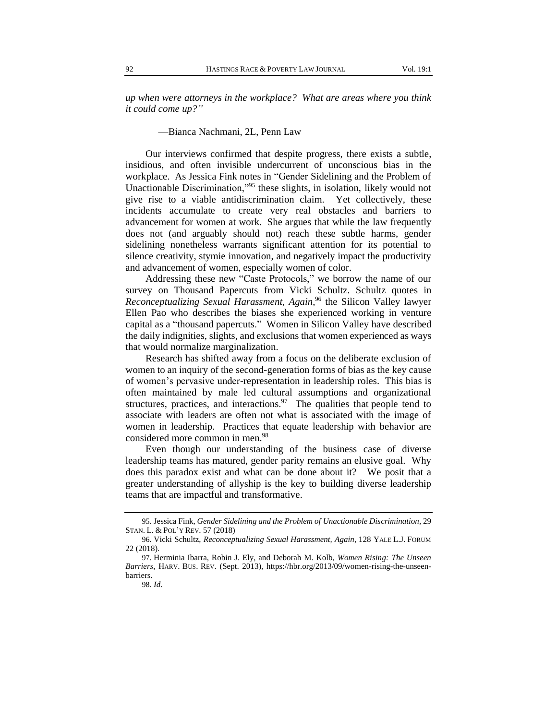*up when were attorneys in the workplace? What are areas where you think it could come up?"*

#### —Bianca Nachmani, 2L, Penn Law

Our interviews confirmed that despite progress, there exists a subtle, insidious, and often invisible undercurrent of unconscious bias in the workplace. As Jessica Fink notes in "Gender Sidelining and the Problem of Unactionable Discrimination,"<sup>95</sup> these slights, in isolation, likely would not give rise to a viable antidiscrimination claim. Yet collectively, these incidents accumulate to create very real obstacles and barriers to advancement for women at work. She argues that while the law frequently does not (and arguably should not) reach these subtle harms, gender sidelining nonetheless warrants significant attention for its potential to silence creativity, stymie innovation, and negatively impact the productivity and advancement of women, especially women of color.

Addressing these new "Caste Protocols," we borrow the name of our survey on Thousand Papercuts from Vicki Schultz. Schultz quotes in *Reconceptualizing Sexual Harassment, Again*, <sup>96</sup> the Silicon Valley lawyer Ellen Pao who describes the biases she experienced working in venture capital as a "thousand papercuts." Women in Silicon Valley have described the daily indignities, slights, and exclusions that women experienced as ways that would normalize marginalization.

Research has shifted away from a focus on the deliberate exclusion of women to an inquiry of the second-generation forms of bias as the key cause of women's pervasive under-representation in leadership roles. This bias is often maintained by male led cultural assumptions and organizational structures, practices, and interactions. $97$  The qualities that people tend to associate with leaders are often not what is associated with the image of women in leadership. Practices that equate leadership with behavior are considered more common in men.<sup>98</sup>

Even though our understanding of the business case of diverse leadership teams has matured, gender parity remains an elusive goal. Why does this paradox exist and what can be done about it? We posit that a greater understanding of allyship is the key to building diverse leadership teams that are impactful and transformative.

<sup>95</sup>. Jessica Fink, *Gender Sidelining and the Problem of Unactionable Discrimination*, 29 STAN. L. & POL'Y REV. 57 (2018)

<sup>96</sup>. Vicki Schultz, *Reconceptualizing Sexual Harassment, Again*, 128 YALE L.J. FORUM 22 (2018).

<sup>97</sup>. Herminia Ibarra, Robin J. Ely, and Deborah M. Kolb, *Women Rising: The Unseen Barriers*, HARV. BUS. REV. (Sept. 2013), https://hbr.org/2013/09/women-rising-the-unseenbarriers.

<sup>98</sup>*. Id*.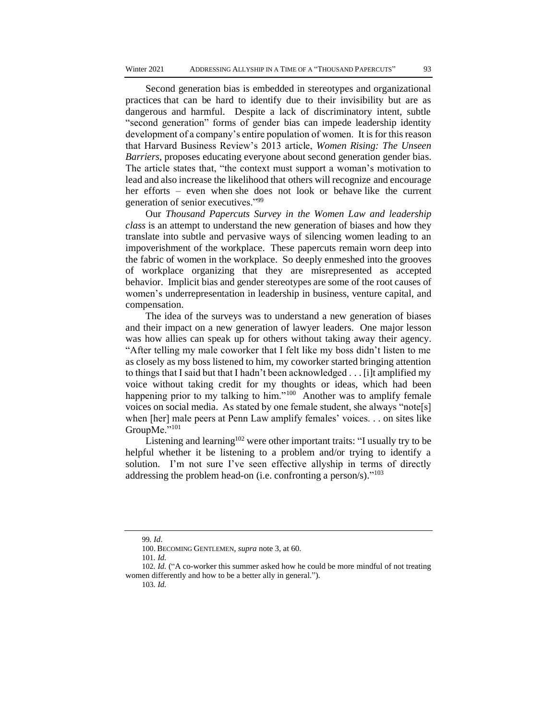Second generation bias is embedded in stereotypes and organizational practices that can be hard to identify due to their invisibility but are as dangerous and harmful. Despite a lack of discriminatory intent, subtle "second generation" forms of gender bias can impede leadership identity development of a company's entire population of women. It is for this reason that Harvard Business Review's 2013 article, *Women Rising: The Unseen Barriers*, proposes educating everyone about second generation gender bias. The article states that, "the context must support a woman's motivation to lead and also increase the likelihood that others will recognize and encourage her efforts – even when she does not look or behave like the current generation of senior executives."<sup>99</sup>

Our *Thousand Papercuts Survey in the Women Law and leadership class* is an attempt to understand the new generation of biases and how they translate into subtle and pervasive ways of silencing women leading to an impoverishment of the workplace. These papercuts remain worn deep into the fabric of women in the workplace. So deeply enmeshed into the grooves of workplace organizing that they are misrepresented as accepted behavior. Implicit bias and gender stereotypes are some of the root causes of women's underrepresentation in leadership in business, venture capital, and compensation.

The idea of the surveys was to understand a new generation of biases and their impact on a new generation of lawyer leaders. One major lesson was how allies can speak up for others without taking away their agency. "After telling my male coworker that I felt like my boss didn't listen to me as closely as my boss listened to him, my coworker started bringing attention to things that I said but that I hadn't been acknowledged . . . [i]t amplified my voice without taking credit for my thoughts or ideas, which had been happening prior to my talking to him."<sup>100</sup> Another was to amplify female voices on social media. As stated by one female student, she always "note[s] when [her] male peers at Penn Law amplify females' voices. . . on sites like GroupMe."<sup>101</sup>

Listening and learning<sup>102</sup> were other important traits: "I usually try to be helpful whether it be listening to a problem and/or trying to identify a solution. I'm not sure I've seen effective allyship in terms of directly addressing the problem head-on (i.e. confronting a person/s)."<sup>103</sup>

<sup>99</sup>*. Id*.

<sup>100</sup>. BECOMING GENTLEMEN, *supra* note 3, at 60.

<sup>101</sup>*. Id.*

<sup>102</sup>*. Id.* ("A co-worker this summer asked how he could be more mindful of not treating women differently and how to be a better ally in general.").

<sup>103</sup>*. Id.*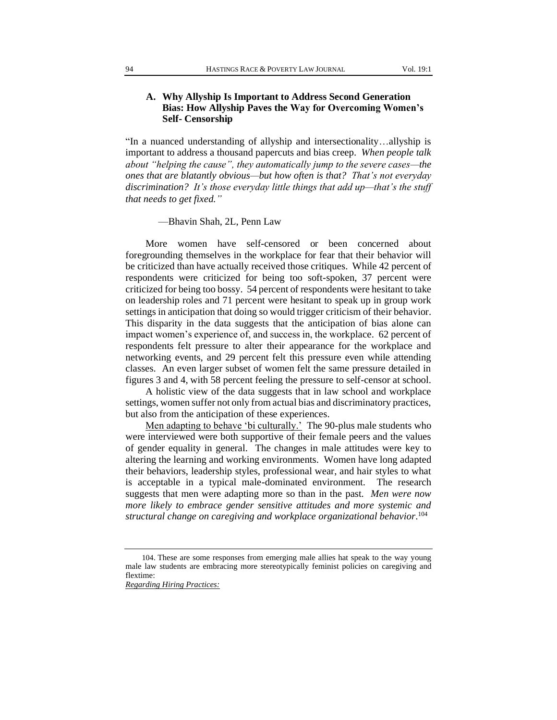## **A. Why Allyship Is Important to Address Second Generation Bias: How Allyship Paves the Way for Overcoming Women's Self- Censorship**

"In a nuanced understanding of allyship and intersectionality…allyship is important to address a thousand papercuts and bias creep. *When people talk about "helping the cause", they automatically jump to the severe cases—the ones that are blatantly obvious—but how often is that? That's not everyday discrimination? It's those everyday little things that add up—that's the stuff that needs to get fixed."*

#### —Bhavin Shah, 2L, Penn Law

More women have self-censored or been concerned about foregrounding themselves in the workplace for fear that their behavior will be criticized than have actually received those critiques. While 42 percent of respondents were criticized for being too soft-spoken, 37 percent were criticized for being too bossy. 54 percent of respondents were hesitant to take on leadership roles and 71 percent were hesitant to speak up in group work settings in anticipation that doing so would trigger criticism of their behavior. This disparity in the data suggests that the anticipation of bias alone can impact women's experience of, and success in, the workplace. 62 percent of respondents felt pressure to alter their appearance for the workplace and networking events, and 29 percent felt this pressure even while attending classes. An even larger subset of women felt the same pressure detailed in figures 3 and 4, with 58 percent feeling the pressure to self-censor at school.

A holistic view of the data suggests that in law school and workplace settings, women suffer not only from actual bias and discriminatory practices, but also from the anticipation of these experiences.

Men adapting to behave 'bi culturally.' The 90-plus male students who were interviewed were both supportive of their female peers and the values of gender equality in general. The changes in male attitudes were key to altering the learning and working environments. Women have long adapted their behaviors, leadership styles, professional wear, and hair styles to what is acceptable in a typical male-dominated environment. The research suggests that men were adapting more so than in the past. *Men were now more likely to embrace gender sensitive attitudes and more systemic and structural change on caregiving and workplace organizational behavior*. 104

*Regarding Hiring Practices:*

<sup>104</sup>. These are some responses from emerging male allies hat speak to the way young male law students are embracing more stereotypically feminist policies on caregiving and flextime: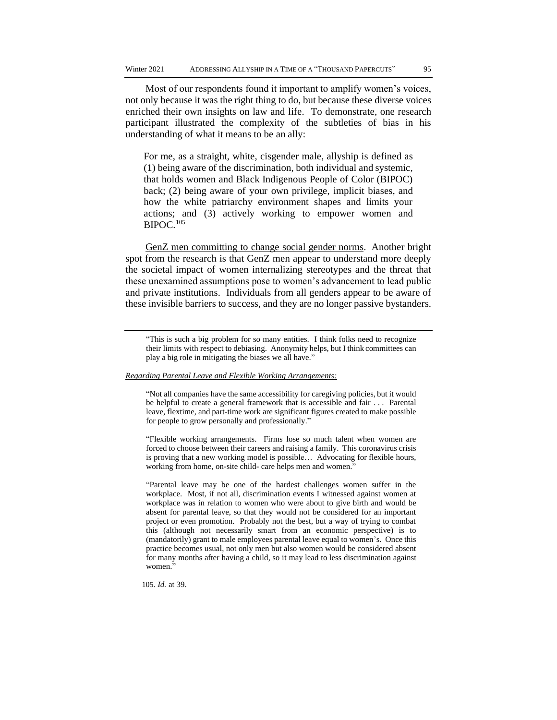Most of our respondents found it important to amplify women's voices, not only because it was the right thing to do, but because these diverse voices enriched their own insights on law and life. To demonstrate, one research participant illustrated the complexity of the subtleties of bias in his understanding of what it means to be an ally:

For me, as a straight, white, cisgender male, allyship is defined as (1) being aware of the discrimination, both individual and systemic, that holds women and Black Indigenous People of Color (BIPOC) back; (2) being aware of your own privilege, implicit biases, and how the white patriarchy environment shapes and limits your actions; and (3) actively working to empower women and BIPOC.<sup>105</sup>

GenZ men committing to change social gender norms. Another bright spot from the research is that GenZ men appear to understand more deeply the societal impact of women internalizing stereotypes and the threat that these unexamined assumptions pose to women's advancement to lead public and private institutions. Individuals from all genders appear to be aware of these invisible barriers to success, and they are no longer passive bystanders.

#### *Regarding Parental Leave and Flexible Working Arrangements:*

"Not all companies have the same accessibility for caregiving policies, but it would be helpful to create a general framework that is accessible and fair . . . Parental leave, flextime, and part-time work are significant figures created to make possible for people to grow personally and professionally."

"Flexible working arrangements. Firms lose so much talent when women are forced to choose between their careers and raising a family. This coronavirus crisis is proving that a new working model is possible… Advocating for flexible hours, working from home, on-site child- care helps men and women."

"Parental leave may be one of the hardest challenges women suffer in the workplace. Most, if not all, discrimination events I witnessed against women at workplace was in relation to women who were about to give birth and would be absent for parental leave, so that they would not be considered for an important project or even promotion. Probably not the best, but a way of trying to combat this (although not necessarily smart from an economic perspective) is to (mandatorily) grant to male employees parental leave equal to women's. Once this practice becomes usual, not only men but also women would be considered absent for many months after having a child, so it may lead to less discrimination against women.'

105*. Id.* at 39.

<sup>&</sup>quot;This is such a big problem for so many entities. I think folks need to recognize their limits with respect to debiasing. Anonymity helps, but I think committees can play a big role in mitigating the biases we all have."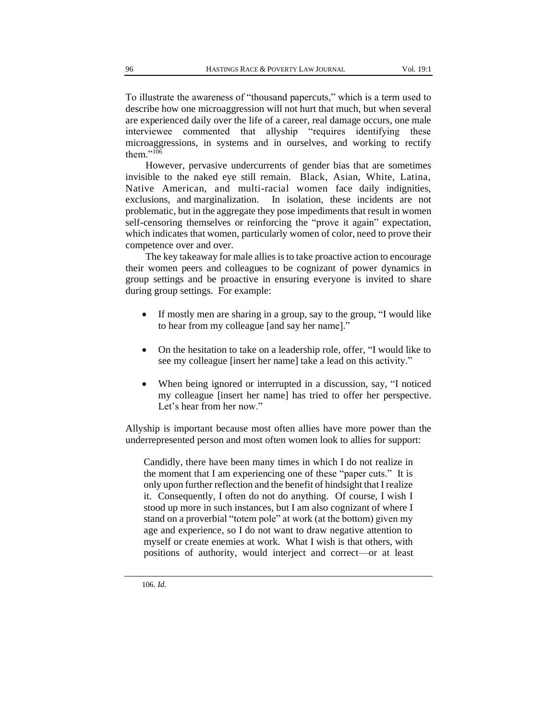To illustrate the awareness of "thousand papercuts," which is a term used to describe how one microaggression will not hurt that much, but when several are experienced daily over the life of a career, real damage occurs, one male interviewee commented that allyship "requires identifying these microaggressions, in systems and in ourselves, and working to rectify them." $106$ 

However, pervasive undercurrents of gender bias that are sometimes invisible to the naked eye still remain. Black, Asian, White, Latina, Native American, and multi-racial women face daily indignities, exclusions, and marginalization. In isolation, these incidents are not problematic, but in the aggregate they pose impediments that result in women self-censoring themselves or reinforcing the "prove it again" expectation, which indicates that women, particularly women of color, need to prove their competence over and over.

The key takeaway for male allies is to take proactive action to encourage their women peers and colleagues to be cognizant of power dynamics in group settings and be proactive in ensuring everyone is invited to share during group settings. For example:

- If mostly men are sharing in a group, say to the group, "I would like to hear from my colleague [and say her name]."
- On the hesitation to take on a leadership role, offer, "I would like to see my colleague [insert her name] take a lead on this activity."
- When being ignored or interrupted in a discussion, say, "I noticed my colleague [insert her name] has tried to offer her perspective. Let's hear from her now."

Allyship is important because most often allies have more power than the underrepresented person and most often women look to allies for support:

Candidly, there have been many times in which I do not realize in the moment that I am experiencing one of these "paper cuts." It is only upon further reflection and the benefit of hindsight that I realize it. Consequently, I often do not do anything. Of course, I wish I stood up more in such instances, but I am also cognizant of where I stand on a proverbial "totem pole" at work (at the bottom) given my age and experience, so I do not want to draw negative attention to myself or create enemies at work. What I wish is that others, with positions of authority, would interject and correct—or at least

<sup>106</sup>*. Id.*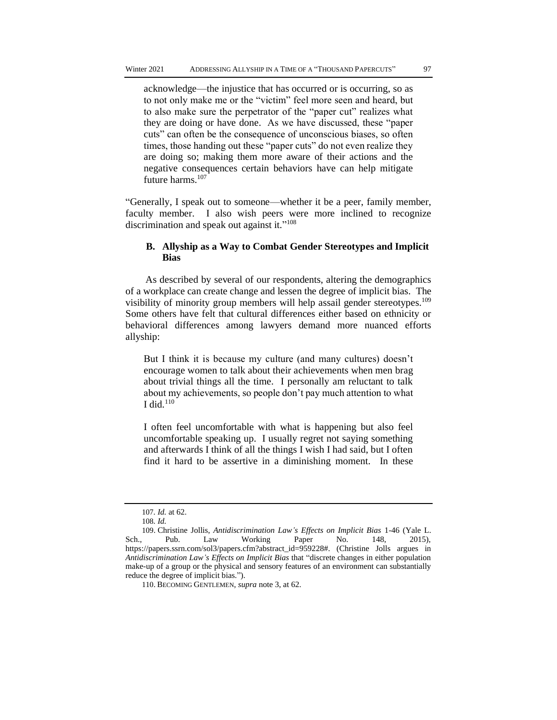acknowledge—the injustice that has occurred or is occurring, so as to not only make me or the "victim" feel more seen and heard, but to also make sure the perpetrator of the "paper cut" realizes what they are doing or have done. As we have discussed, these "paper cuts" can often be the consequence of unconscious biases, so often times, those handing out these "paper cuts" do not even realize they are doing so; making them more aware of their actions and the negative consequences certain behaviors have can help mitigate future harms.<sup>107</sup>

"Generally, I speak out to someone—whether it be a peer, family member, faculty member. I also wish peers were more inclined to recognize discrimination and speak out against it."<sup>108</sup>

## **B. Allyship as a Way to Combat Gender Stereotypes and Implicit Bias**

As described by several of our respondents, altering the demographics of a workplace can create change and lessen the degree of implicit bias. The visibility of minority group members will help assail gender stereotypes.<sup>109</sup> Some others have felt that cultural differences either based on ethnicity or behavioral differences among lawyers demand more nuanced efforts allyship:

But I think it is because my culture (and many cultures) doesn't encourage women to talk about their achievements when men brag about trivial things all the time. I personally am reluctant to talk about my achievements, so people don't pay much attention to what I did. $110$ 

I often feel uncomfortable with what is happening but also feel uncomfortable speaking up. I usually regret not saying something and afterwards I think of all the things I wish I had said, but I often find it hard to be assertive in a diminishing moment. In these

<sup>107</sup>*. Id.* at 62.

<sup>108</sup>*. Id.*

<sup>109</sup>. Christine Jollis, *Antidiscrimination Law's Effects on Implicit Bias* 1-46 (Yale L. Sch., Pub. Law Working Paper No. 148, 2015), https://papers.ssrn.com/sol3/papers.cfm?abstract\_id=959228#. (Christine Jolls argues in *Antidiscrimination Law's Effects on Implicit Bias* that "discrete changes in either population make-up of a group or the physical and sensory features of an environment can substantially reduce the degree of implicit bias.").

<sup>110</sup>. BECOMING GENTLEMEN, *supra* note 3, at 62.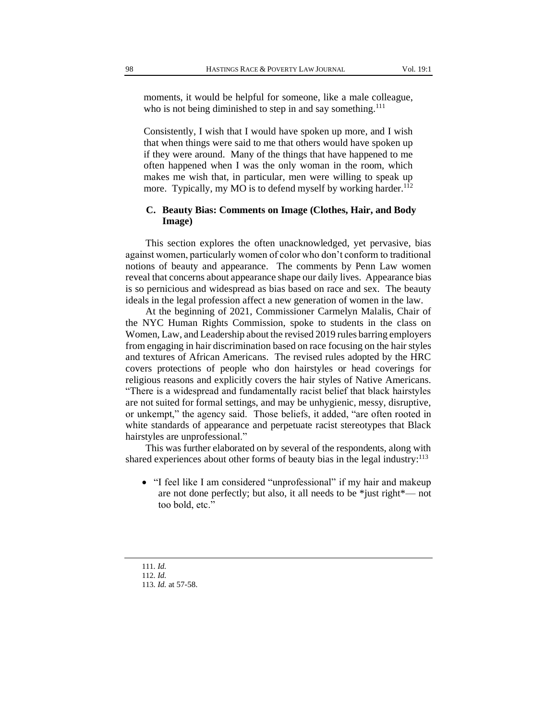moments, it would be helpful for someone, like a male colleague, who is not being diminished to step in and say something.<sup>111</sup>

Consistently, I wish that I would have spoken up more, and I wish that when things were said to me that others would have spoken up if they were around. Many of the things that have happened to me often happened when I was the only woman in the room, which makes me wish that, in particular, men were willing to speak up more. Typically, my MO is to defend myself by working harder.<sup>112</sup>

# **C. Beauty Bias: Comments on Image (Clothes, Hair, and Body Image)**

This section explores the often unacknowledged, yet pervasive, bias against women, particularly women of color who don't conform to traditional notions of beauty and appearance. The comments by Penn Law women reveal that concerns about appearance shape our daily lives. Appearance bias is so pernicious and widespread as bias based on race and sex. The beauty ideals in the legal profession affect a new generation of women in the law.

At the beginning of 2021, Commissioner Carmelyn Malalis, Chair of the NYC Human Rights Commission, spoke to students in the class on Women, Law, and Leadership about the revised 2019 rules barring employers from engaging in hair discrimination based on race focusing on the hair styles and textures of African Americans. The revised rules adopted by the HRC covers protections of people who don hairstyles or head coverings for religious reasons and explicitly covers the hair styles of Native Americans. "There is a widespread and fundamentally racist belief that black hairstyles are not suited for formal settings, and may be unhygienic, messy, disruptive, or unkempt," the agency said. Those beliefs, it added, "are often rooted in white standards of appearance and perpetuate racist stereotypes that Black hairstyles are unprofessional."

This was further elaborated on by several of the respondents, along with shared experiences about other forms of beauty bias in the legal industry:<sup>113</sup>

• "I feel like I am considered "unprofessional" if my hair and makeup are not done perfectly; but also, it all needs to be \*just right\*— not too bold, etc."

<sup>111</sup>*. Id.*

<sup>112</sup>*. Id.*

<sup>113</sup>*. Id.* at 57-58.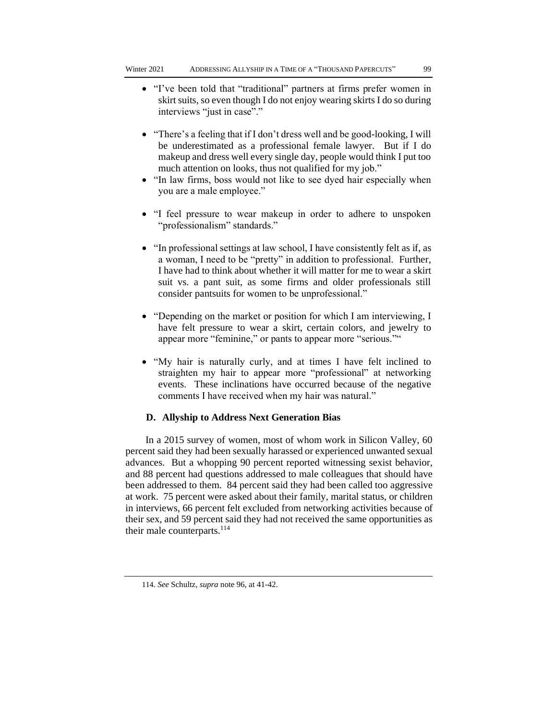- "I've been told that "traditional" partners at firms prefer women in skirt suits, so even though I do not enjoy wearing skirts I do so during interviews "just in case"."
- "There's a feeling that if I don't dress well and be good-looking, I will be underestimated as a professional female lawyer. But if I do makeup and dress well every single day, people would think I put too much attention on looks, thus not qualified for my job."
- "In law firms, boss would not like to see dyed hair especially when you are a male employee."
- "I feel pressure to wear makeup in order to adhere to unspoken "professionalism" standards."
- "In professional settings at law school, I have consistently felt as if, as a woman, I need to be "pretty" in addition to professional. Further, I have had to think about whether it will matter for me to wear a skirt suit vs. a pant suit, as some firms and older professionals still consider pantsuits for women to be unprofessional."
- "Depending on the market or position for which I am interviewing, I have felt pressure to wear a skirt, certain colors, and jewelry to appear more "feminine," or pants to appear more "serious.""
- "My hair is naturally curly, and at times I have felt inclined to straighten my hair to appear more "professional" at networking events. These inclinations have occurred because of the negative comments I have received when my hair was natural."

#### **D. Allyship to Address Next Generation Bias**

In a 2015 survey of women, most of whom work in Silicon Valley, 60 percent said they had been sexually harassed or experienced unwanted sexual advances. But a whopping 90 percent reported witnessing sexist behavior, and 88 percent had questions addressed to male colleagues that should have been addressed to them. 84 percent said they had been called too aggressive at work. 75 percent were asked about their family, marital status, or children in interviews, 66 percent felt excluded from networking activities because of their sex, and 59 percent said they had not received the same opportunities as their male counterparts.<sup>114</sup>

<sup>114</sup>*. See* Schultz, *supra* note 96, at 41-42.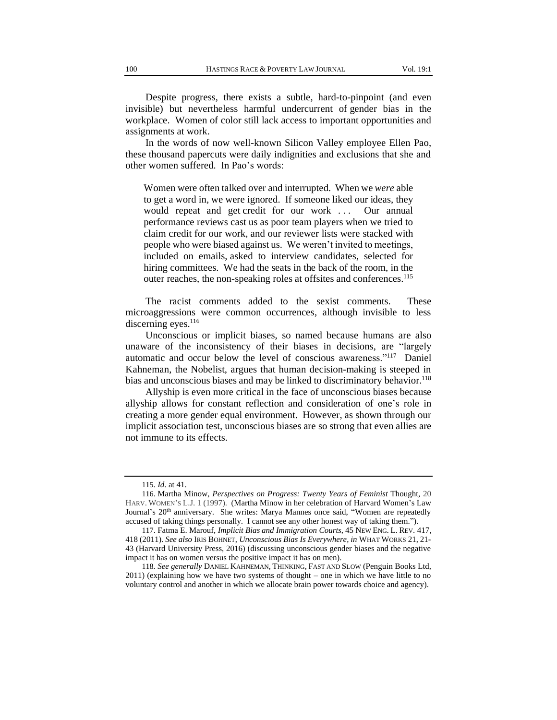Despite progress, there exists a subtle, hard-to-pinpoint (and even invisible) but nevertheless harmful undercurrent of gender bias in the workplace. Women of color still lack access to important opportunities and assignments at work.

In the words of now well-known Silicon Valley employee Ellen Pao, these thousand papercuts were daily indignities and exclusions that she and other women suffered. In Pao's words:

Women were often talked over and interrupted. When we *were* able to get a word in, we were ignored. If someone liked our ideas, they would repeat and get credit for our work . . . Our annual performance reviews cast us as poor team players when we tried to claim credit for our work, and our reviewer lists were stacked with people who were biased against us. We weren't invited to meetings, included on emails, asked to interview candidates, selected for hiring committees. We had the seats in the back of the room, in the outer reaches, the non-speaking roles at offsites and conferences.<sup>115</sup>

The racist comments added to the sexist comments. These microaggressions were common occurrences, although invisible to less discerning eyes. $116$ 

Unconscious or implicit biases, so named because humans are also unaware of the inconsistency of their biases in decisions, are "largely automatic and occur below the level of conscious awareness."<sup>117</sup> Daniel Kahneman, the Nobelist, argues that human decision-making is steeped in bias and unconscious biases and may be linked to discriminatory behavior.<sup>118</sup>

Allyship is even more critical in the face of unconscious biases because allyship allows for constant reflection and consideration of one's role in creating a more gender equal environment. However, as shown through our implicit association test, unconscious biases are so strong that even allies are not immune to its effects.

118*. See generally* DANIEL KAHNEMAN, THINKING, FAST AND SLOW (Penguin Books Ltd, 2011) (explaining how we have two systems of thought – one in which we have little to no voluntary control and another in which we allocate brain power towards choice and agency).

<sup>115</sup>*. Id*. at 41.

<sup>116</sup>. Martha Minow, *Perspectives on Progress: Twenty Years of Feminist* Thought, 20 HARV. WOMEN'S L.J. 1 (1997). (Martha Minow in her celebration of Harvard Women's Law Journal's 20<sup>th</sup> anniversary. She writes: Marya Mannes once said, "Women are repeatedly accused of taking things personally. I cannot see any other honest way of taking them.").

<sup>117</sup>. Fatma E. Marouf, *Implicit Bias and Immigration Courts*, 45 NEW ENG. L. REV. 417, 418 (2011). *See also* IRIS BOHNET, *Unconscious Bias Is Everywhere*, *in* WHAT WORKS 21, 21- 43 (Harvard University Press, 2016) (discussing unconscious gender biases and the negative impact it has on women versus the positive impact it has on men).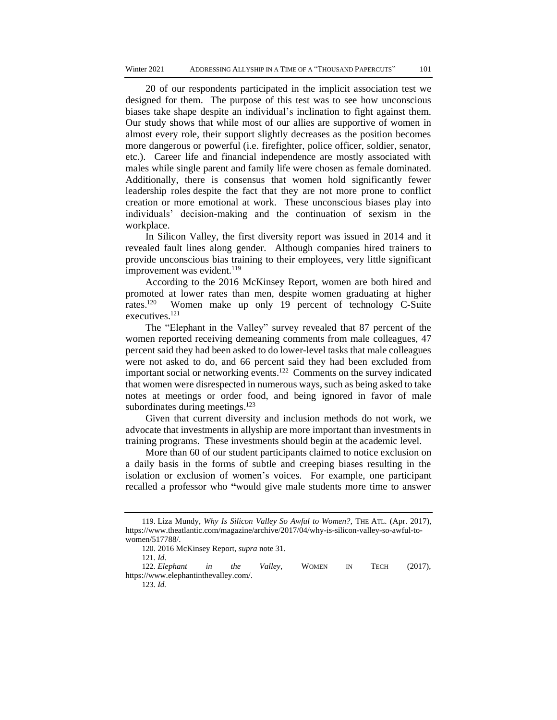20 of our respondents participated in the implicit association test we designed for them. The purpose of this test was to see how unconscious biases take shape despite an individual's inclination to fight against them. Our study shows that while most of our allies are supportive of women in almost every role, their support slightly decreases as the position becomes more dangerous or powerful (i.e. firefighter, police officer, soldier, senator, etc.). Career life and financial independence are mostly associated with males while single parent and family life were chosen as female dominated. Additionally, there is consensus that women hold significantly fewer leadership roles despite the fact that they are not more prone to conflict creation or more emotional at work. These unconscious biases play into individuals' decision-making and the continuation of sexism in the workplace.

In Silicon Valley, the first diversity report was issued in 2014 and it revealed fault lines along gender. Although companies hired trainers to provide unconscious bias training to their employees, very little significant improvement was evident.<sup>119</sup>

According to the 2016 McKinsey Report, women are both hired and promoted at lower rates than men, despite women graduating at higher rates.<sup>120</sup> Women make up only 19 percent of technology C-Suite executives.<sup>121</sup>

The "Elephant in the Valley" survey revealed that 87 percent of the women reported receiving demeaning comments from male colleagues, 47 percent said they had been asked to do lower-level tasks that male colleagues were not asked to do, and 66 percent said they had been excluded from important social or networking events.<sup>122</sup> Comments on the survey indicated that women were disrespected in numerous ways, such as being asked to take notes at meetings or order food, and being ignored in favor of male subordinates during meetings. $123$ 

Given that current diversity and inclusion methods do not work, we advocate that investments in allyship are more important than investments in training programs. These investments should begin at the academic level.

More than 60 of our student participants claimed to notice exclusion on a daily basis in the forms of subtle and creeping biases resulting in the isolation or exclusion of women's voices. For example, one participant recalled a professor who **"**would give male students more time to answer

<sup>119</sup>. Liza Mundy, *Why Is Silicon Valley So Awful to Women?*, THE ATL. (Apr. 2017), https://www.theatlantic.com/magazine/archive/2017/04/why-is-silicon-valley-so-awful-towomen/517788/.

<sup>120</sup>. 2016 McKinsey Report, *supra* note 31.

<sup>121</sup>*. Id*.

<sup>122</sup>*. Elephant in the Valley*, WOMEN IN TECH (2017), https://www.elephantinthevalley.com/.

<sup>123</sup>*. Id.*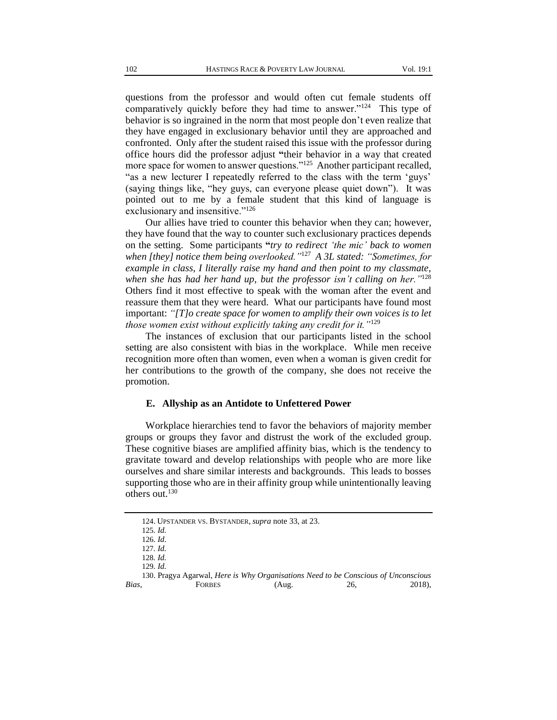questions from the professor and would often cut female students off comparatively quickly before they had time to answer."<sup>124</sup> This type of behavior is so ingrained in the norm that most people don't even realize that they have engaged in exclusionary behavior until they are approached and confronted. Only after the student raised this issue with the professor during office hours did the professor adjust **"**their behavior in a way that created more space for women to answer questions."<sup>125</sup> Another participant recalled, "as a new lecturer I repeatedly referred to the class with the term 'guys' (saying things like, "hey guys, can everyone please quiet down"). It was pointed out to me by a female student that this kind of language is exclusionary and insensitive."<sup>126</sup>

Our allies have tried to counter this behavior when they can; however, they have found that the way to counter such exclusionary practices depends on the setting. Some participants **"***try to redirect 'the mic' back to women when [they] notice them being overlooked."*<sup>127</sup> *A 3L stated: "Sometimes, for example in class, I literally raise my hand and then point to my classmate, when she has had her hand up, but the professor isn't calling on her."*<sup>128</sup> Others find it most effective to speak with the woman after the event and reassure them that they were heard. What our participants have found most important: *"[T]o create space for women to amplify their own voices is to let those women exist without explicitly taking any credit for it."*<sup>129</sup>

The instances of exclusion that our participants listed in the school setting are also consistent with bias in the workplace. While men receive recognition more often than women, even when a woman is given credit for her contributions to the growth of the company, she does not receive the promotion.

#### **E. Allyship as an Antidote to Unfettered Power**

Workplace hierarchies tend to favor the behaviors of majority member groups or groups they favor and distrust the work of the excluded group. These cognitive biases are amplified affinity bias, which is the tendency to gravitate toward and develop relationships with people who are more like ourselves and share similar interests and backgrounds. This leads to bosses supporting those who are in their affinity group while unintentionally leaving others out.<sup>130</sup>

<sup>124</sup>. UPSTANDER VS. BYSTANDER,*supra* note 33, at 23.

<sup>125</sup>*. Id.*

<sup>126</sup>*. Id*.

<sup>127</sup>*. Id.* 128*. Id.*

<sup>129</sup>*. Id.*

<sup>130</sup>. Pragya Agarwal, *Here is Why Organisations Need to be Conscious of Unconscious Bias*, **FORBES** (Aug. 26, 2018),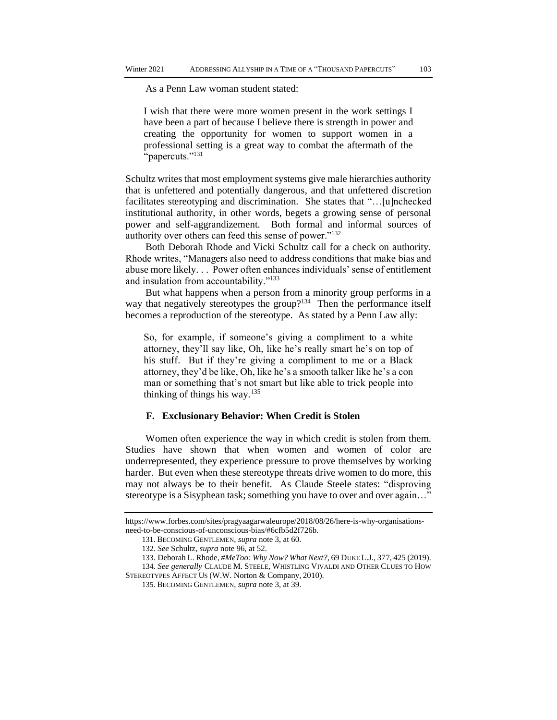As a Penn Law woman student stated:

I wish that there were more women present in the work settings I have been a part of because I believe there is strength in power and creating the opportunity for women to support women in a professional setting is a great way to combat the aftermath of the "papercuts."<sup>131</sup>

Schultz writes that most employment systems give male hierarchies authority that is unfettered and potentially dangerous, and that unfettered discretion facilitates stereotyping and discrimination. She states that "…[u]nchecked institutional authority, in other words, begets a growing sense of personal power and self-aggrandizement. Both formal and informal sources of authority over others can feed this sense of power."<sup>132</sup>

Both Deborah Rhode and Vicki Schultz call for a check on authority. Rhode writes, "Managers also need to address conditions that make bias and abuse more likely. . . Power often enhances individuals' sense of entitlement and insulation from accountability."<sup>133</sup>

But what happens when a person from a minority group performs in a way that negatively stereotypes the group?<sup>134</sup> Then the performance itself becomes a reproduction of the stereotype. As stated by a Penn Law ally:

So, for example, if someone's giving a compliment to a white attorney, they'll say like, Oh, like he's really smart he's on top of his stuff. But if they're giving a compliment to me or a Black attorney, they'd be like, Oh, like he's a smooth talker like he's a con man or something that's not smart but like able to trick people into thinking of things his way.<sup>135</sup>

#### **F. Exclusionary Behavior: When Credit is Stolen**

Women often experience the way in which credit is stolen from them. Studies have shown that when women and women of color are underrepresented, they experience pressure to prove themselves by working harder. But even when these stereotype threats drive women to do more, this may not always be to their benefit. As Claude Steele states: "disproving stereotype is a Sisyphean task; something you have to over and over again…"

134*. See generally* CLAUDE M. STEELE, WHISTLING VIVALDI AND OTHER CLUES TO HOW STEREOTYPES AFFECT US (W.W. Norton & Company, 2010).

https://www.forbes.com/sites/pragyaagarwaleurope/2018/08/26/here-is-why-organisationsneed-to-be-conscious-of-unconscious-bias/#6cfb5d2f726b.

<sup>131</sup>. BECOMING GENTLEMEN, *supra* note 3, at 60.

<sup>132</sup>*. See* Schultz, *supra* note 96, at 52.

<sup>133</sup>. Deborah L. Rhode, *#MeToo: Why Now? What Next?*, 69 DUKE L.J., 377, 425 (2019).

<sup>135</sup>. BECOMING GENTLEMEN, *supra* note 3, at 39.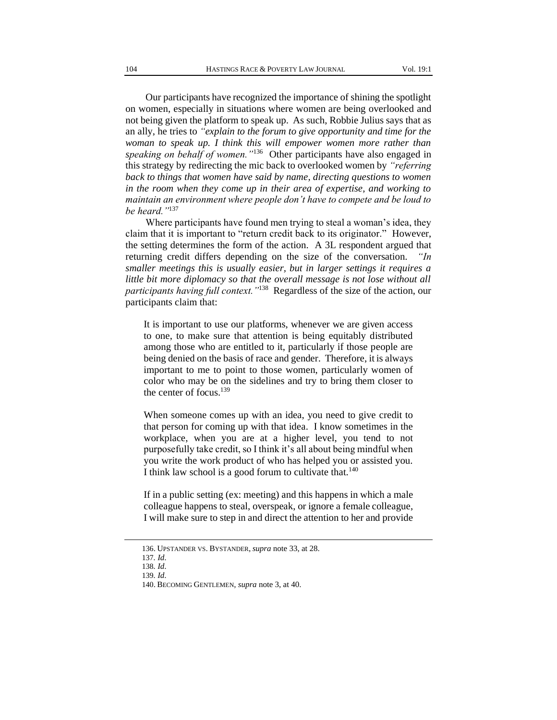Our participants have recognized the importance of shining the spotlight on women, especially in situations where women are being overlooked and not being given the platform to speak up. As such, Robbie Julius says that as an ally, he tries to *"explain to the forum to give opportunity and time for the woman to speak up. I think this will empower women more rather than speaking on behalf of women."*<sup>136</sup> Other participants have also engaged in this strategy by redirecting the mic back to overlooked women by *"referring back to things that women have said by name, directing questions to women in the room when they come up in their area of expertise, and working to maintain an environment where people don't have to compete and be loud to be heard."*<sup>137</sup>

Where participants have found men trying to steal a woman's idea, they claim that it is important to "return credit back to its originator." However, the setting determines the form of the action. A 3L respondent argued that returning credit differs depending on the size of the conversation. *"In smaller meetings this is usually easier, but in larger settings it requires a little bit more diplomacy so that the overall message is not lose without all participants having full context."*<sup>138</sup> Regardless of the size of the action, our participants claim that:

It is important to use our platforms, whenever we are given access to one, to make sure that attention is being equitably distributed among those who are entitled to it, particularly if those people are being denied on the basis of race and gender. Therefore, it is always important to me to point to those women, particularly women of color who may be on the sidelines and try to bring them closer to the center of focus.<sup>139</sup>

When someone comes up with an idea, you need to give credit to that person for coming up with that idea. I know sometimes in the workplace, when you are at a higher level, you tend to not purposefully take credit, so I think it's all about being mindful when you write the work product of who has helped you or assisted you. I think law school is a good forum to cultivate that.<sup>140</sup>

If in a public setting (ex: meeting) and this happens in which a male colleague happens to steal, overspeak, or ignore a female colleague, I will make sure to step in and direct the attention to her and provide

<sup>136</sup>. UPSTANDER VS. BYSTANDER,*supra* note 33, at 28.

<sup>137</sup>*. Id*.

<sup>138</sup>*. Id*.

<sup>139</sup>*. Id*.

<sup>140</sup>. BECOMING GENTLEMEN, *supra* note 3, at 40.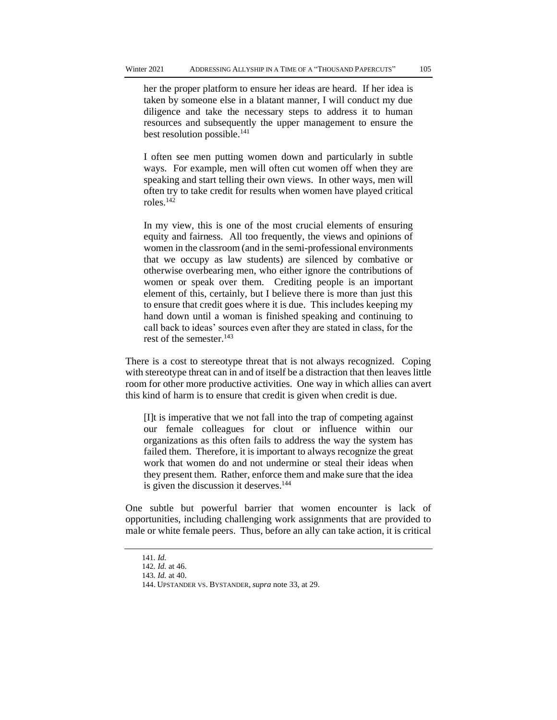her the proper platform to ensure her ideas are heard. If her idea is taken by someone else in a blatant manner, I will conduct my due diligence and take the necessary steps to address it to human resources and subsequently the upper management to ensure the best resolution possible.<sup>141</sup>

I often see men putting women down and particularly in subtle ways. For example, men will often cut women off when they are speaking and start telling their own views. In other ways, men will often try to take credit for results when women have played critical roles.<sup>142</sup>

In my view, this is one of the most crucial elements of ensuring equity and fairness. All too frequently, the views and opinions of women in the classroom (and in the semi-professional environments that we occupy as law students) are silenced by combative or otherwise overbearing men, who either ignore the contributions of women or speak over them. Crediting people is an important element of this, certainly, but I believe there is more than just this to ensure that credit goes where it is due. This includes keeping my hand down until a woman is finished speaking and continuing to call back to ideas' sources even after they are stated in class, for the rest of the semester.<sup>143</sup>

There is a cost to stereotype threat that is not always recognized. Coping with stereotype threat can in and of itself be a distraction that then leaves little room for other more productive activities. One way in which allies can avert this kind of harm is to ensure that credit is given when credit is due.

[I]t is imperative that we not fall into the trap of competing against our female colleagues for clout or influence within our organizations as this often fails to address the way the system has failed them. Therefore, it is important to always recognize the great work that women do and not undermine or steal their ideas when they present them. Rather, enforce them and make sure that the idea is given the discussion it deserves.<sup>144</sup>

One subtle but powerful barrier that women encounter is lack of opportunities, including challenging work assignments that are provided to male or white female peers. Thus, before an ally can take action, it is critical

<sup>141</sup>*. Id.*

<sup>142</sup>*. Id.* at 46.

<sup>143</sup>*. Id.* at 40.

<sup>144</sup>. UPSTANDER VS. BYSTANDER,*supra* note 33, at 29.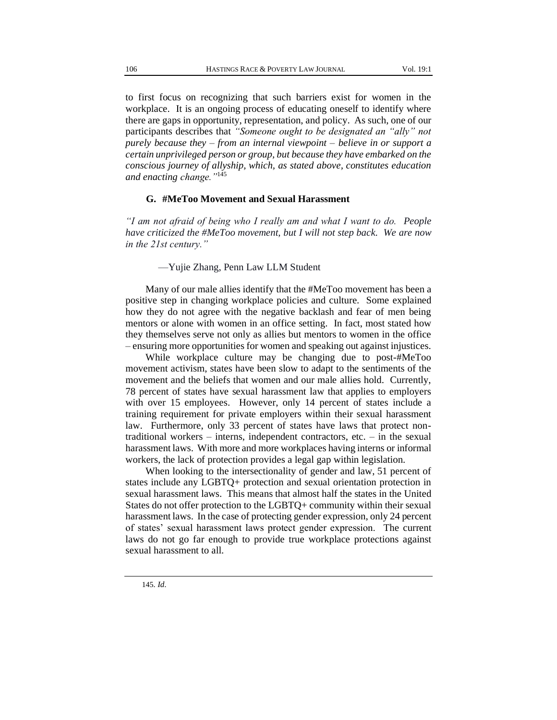to first focus on recognizing that such barriers exist for women in the workplace. It is an ongoing process of educating oneself to identify where there are gaps in opportunity, representation, and policy. As such, one of our participants describes that *"Someone ought to be designated an "ally" not purely because they – from an internal viewpoint – believe in or support a certain unprivileged person or group, but because they have embarked on the conscious journey of allyship, which, as stated above, constitutes education and enacting change."*<sup>145</sup>

#### **G. #MeToo Movement and Sexual Harassment**

*"I am not afraid of being who I really am and what I want to do. People have criticized the #MeToo movement, but I will not step back. We are now in the 21st century."*

### —Yujie Zhang, Penn Law LLM Student

Many of our male allies identify that the #MeToo movement has been a positive step in changing workplace policies and culture. Some explained how they do not agree with the negative backlash and fear of men being mentors or alone with women in an office setting. In fact, most stated how they themselves serve not only as allies but mentors to women in the office – ensuring more opportunities for women and speaking out against injustices.

While workplace culture may be changing due to post-#MeToo movement activism, states have been slow to adapt to the sentiments of the movement and the beliefs that women and our male allies hold. Currently, 78 percent of states have sexual harassment law that applies to employers with over 15 employees. However, only 14 percent of states include a training requirement for private employers within their sexual harassment law. Furthermore, only 33 percent of states have laws that protect nontraditional workers – interns, independent contractors, etc. – in the sexual harassment laws. With more and more workplaces having interns or informal workers, the lack of protection provides a legal gap within legislation.

When looking to the intersectionality of gender and law, 51 percent of states include any LGBTQ+ protection and sexual orientation protection in sexual harassment laws. This means that almost half the states in the United States do not offer protection to the LGBTQ+ community within their sexual harassment laws. In the case of protecting gender expression, only 24 percent of states' sexual harassment laws protect gender expression. The current laws do not go far enough to provide true workplace protections against sexual harassment to all.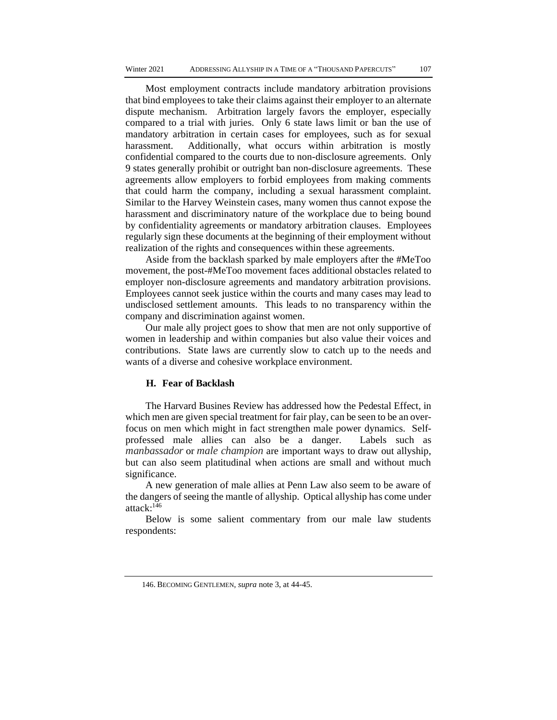Most employment contracts include mandatory arbitration provisions that bind employees to take their claims against their employer to an alternate dispute mechanism. Arbitration largely favors the employer, especially compared to a trial with juries. Only 6 state laws limit or ban the use of mandatory arbitration in certain cases for employees, such as for sexual harassment. Additionally, what occurs within arbitration is mostly confidential compared to the courts due to non-disclosure agreements. Only 9 states generally prohibit or outright ban non-disclosure agreements. These agreements allow employers to forbid employees from making comments that could harm the company, including a sexual harassment complaint. Similar to the Harvey Weinstein cases, many women thus cannot expose the harassment and discriminatory nature of the workplace due to being bound by confidentiality agreements or mandatory arbitration clauses. Employees regularly sign these documents at the beginning of their employment without realization of the rights and consequences within these agreements.

Aside from the backlash sparked by male employers after the #MeToo movement, the post-#MeToo movement faces additional obstacles related to employer non-disclosure agreements and mandatory arbitration provisions. Employees cannot seek justice within the courts and many cases may lead to undisclosed settlement amounts. This leads to no transparency within the company and discrimination against women.

Our male ally project goes to show that men are not only supportive of women in leadership and within companies but also value their voices and contributions. State laws are currently slow to catch up to the needs and wants of a diverse and cohesive workplace environment.

#### **H. Fear of Backlash**

The Harvard Busines Review has addressed how the Pedestal Effect, in which men are given special treatment for fair play, can be seen to be an overfocus on men which might in fact strengthen male power dynamics. Selfprofessed male allies can also be a danger. Labels such as *manbassador* or *male champion* are important ways to draw out allyship, but can also seem platitudinal when actions are small and without much significance.

A new generation of male allies at Penn Law also seem to be aware of the dangers of seeing the mantle of allyship. Optical allyship has come under attack:<sup>146</sup>

Below is some salient commentary from our male law students respondents:

<sup>146</sup>. BECOMING GENTLEMEN, *supra* note 3, at 44-45.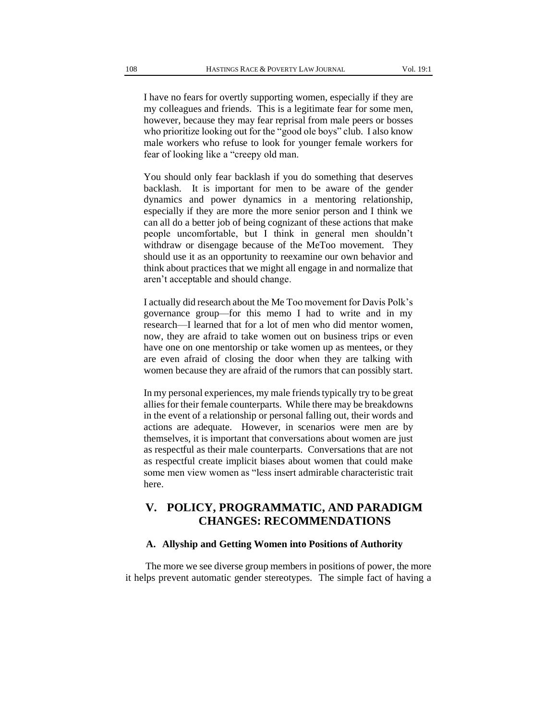I have no fears for overtly supporting women, especially if they are my colleagues and friends. This is a legitimate fear for some men, however, because they may fear reprisal from male peers or bosses who prioritize looking out for the "good ole boys" club. I also know male workers who refuse to look for younger female workers for fear of looking like a "creepy old man.

You should only fear backlash if you do something that deserves backlash. It is important for men to be aware of the gender dynamics and power dynamics in a mentoring relationship, especially if they are more the more senior person and I think we can all do a better job of being cognizant of these actions that make people uncomfortable, but I think in general men shouldn't withdraw or disengage because of the MeToo movement. They should use it as an opportunity to reexamine our own behavior and think about practices that we might all engage in and normalize that aren't acceptable and should change.

I actually did research about the Me Too movement for Davis Polk's governance group—for this memo I had to write and in my research—I learned that for a lot of men who did mentor women, now, they are afraid to take women out on business trips or even have one on one mentorship or take women up as mentees, or they are even afraid of closing the door when they are talking with women because they are afraid of the rumors that can possibly start.

In my personal experiences, my male friends typically try to be great allies for their female counterparts. While there may be breakdowns in the event of a relationship or personal falling out, their words and actions are adequate. However, in scenarios were men are by themselves, it is important that conversations about women are just as respectful as their male counterparts. Conversations that are not as respectful create implicit biases about women that could make some men view women as "less insert admirable characteristic trait here.

# **V. POLICY, PROGRAMMATIC, AND PARADIGM CHANGES: RECOMMENDATIONS**

### **A. Allyship and Getting Women into Positions of Authority**

The more we see diverse group members in positions of power, the more it helps prevent automatic gender stereotypes. The simple fact of having a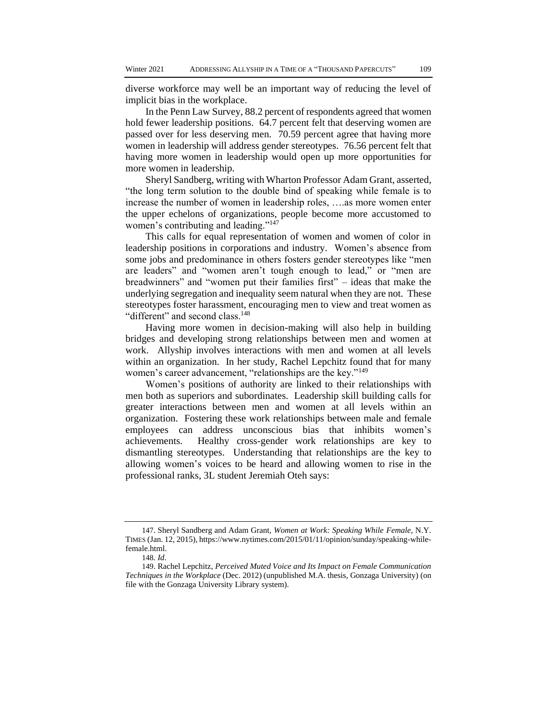diverse workforce may well be an important way of reducing the level of implicit bias in the workplace.

In the Penn Law Survey, 88.2 percent of respondents agreed that women hold fewer leadership positions. 64.7 percent felt that deserving women are passed over for less deserving men. 70.59 percent agree that having more women in leadership will address gender stereotypes. 76.56 percent felt that having more women in leadership would open up more opportunities for more women in leadership.

Sheryl Sandberg, writing with Wharton Professor Adam Grant, asserted, "the long term solution to the double bind of speaking while female is to increase the number of women in leadership roles, ….as more women enter the upper echelons of organizations, people become more accustomed to women's contributing and leading."<sup>147</sup>

This calls for equal representation of women and women of color in leadership positions in corporations and industry. Women's absence from some jobs and predominance in others fosters gender stereotypes like "men are leaders" and "women aren't tough enough to lead," or "men are breadwinners" and "women put their families first" – ideas that make the underlying segregation and inequality seem natural when they are not. These stereotypes foster harassment, encouraging men to view and treat women as "different" and second class.<sup>148</sup>

Having more women in decision-making will also help in building bridges and developing strong relationships between men and women at work. Allyship involves interactions with men and women at all levels within an organization. In her study, Rachel Lepchitz found that for many women's career advancement, "relationships are the key."<sup>149</sup>

Women's positions of authority are linked to their relationships with men both as superiors and subordinates. Leadership skill building calls for greater interactions between men and women at all levels within an organization. Fostering these work relationships between male and female employees can address unconscious bias that inhibits women's achievements. Healthy cross-gender work relationships are key to dismantling stereotypes. Understanding that relationships are the key to allowing women's voices to be heard and allowing women to rise in the professional ranks, 3L student Jeremiah Oteh says:

<sup>147</sup>. Sheryl Sandberg and Adam Grant, *Women at Work: Speaking While Female*, N.Y. TIMES (Jan. 12, 2015), https://www.nytimes.com/2015/01/11/opinion/sunday/speaking-whilefemale.html.

<sup>148</sup>*. Id*.

<sup>149</sup>. Rachel Lepchitz, *Perceived Muted Voice and Its Impact on Female Communication Techniques in the Workplace* (Dec. 2012) (unpublished M.A. thesis, Gonzaga University) (on file with the Gonzaga University Library system).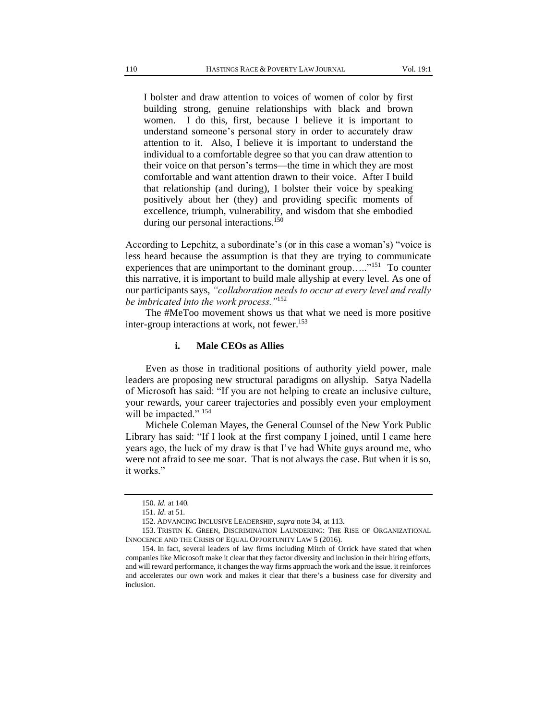I bolster and draw attention to voices of women of color by first building strong, genuine relationships with black and brown women. I do this, first, because I believe it is important to understand someone's personal story in order to accurately draw attention to it. Also, I believe it is important to understand the individual to a comfortable degree so that you can draw attention to their voice on that person's terms—the time in which they are most comfortable and want attention drawn to their voice. After I build that relationship (and during), I bolster their voice by speaking positively about her (they) and providing specific moments of excellence, triumph, vulnerability, and wisdom that she embodied during our personal interactions.<sup>150</sup>

According to Lepchitz, a subordinate's (or in this case a woman's) "voice is less heard because the assumption is that they are trying to communicate experiences that are unimportant to the dominant group....."<sup>151</sup> To counter this narrative, it is important to build male allyship at every level. As one of our participants says, *"collaboration needs to occur at every level and really be imbricated into the work process."*<sup>152</sup>

The #MeToo movement shows us that what we need is more positive inter-group interactions at work, not fewer.<sup>153</sup>

# **i. Male CEOs as Allies**

Even as those in traditional positions of authority yield power, male leaders are proposing new structural paradigms on allyship. Satya Nadella of Microsoft has said: "If you are not helping to create an inclusive culture, your rewards, your career trajectories and possibly even your employment will be impacted." <sup>154</sup>

Michele Coleman Mayes, the General Counsel of the New York Public Library has said: "If I look at the first company I joined, until I came here years ago, the luck of my draw is that I've had White guys around me, who were not afraid to see me soar. That is not always the case. But when it is so, it works."

<sup>150</sup>*. Id.* at 140.

<sup>151</sup>*. Id*. at 51.

<sup>152.</sup> ADVANCING INCLUSIVE LEADERSHIP, *supra* note 34, at 113.

<sup>153.</sup> TRISTIN K. GREEN, DISCRIMINATION LAUNDERING: THE RISE OF ORGANIZATIONAL INNOCENCE AND THE CRISIS OF EQUAL OPPORTUNITY LAW 5 (2016).

<sup>154.</sup> In fact, several leaders of law firms including Mitch of Orrick have stated that when companies like Microsoft make it clear that they factor diversity and inclusion in their hiring efforts, and will reward performance, it changes the way firms approach the work and the issue. it reinforces and accelerates our own work and makes it clear that there's a business case for diversity and inclusion.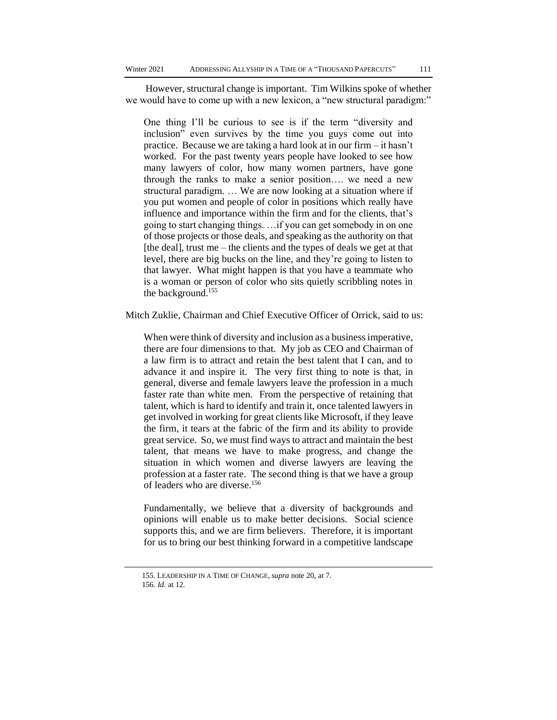However, structural change is important. Tim Wilkins spoke of whether we would have to come up with a new lexicon, a "new structural paradigm:"

One thing I'll be curious to see is if the term "diversity and inclusion" even survives by the time you guys come out into practice. Because we are taking a hard look at in our firm – it hasn't worked. For the past twenty years people have looked to see how many lawyers of color, how many women partners, have gone through the ranks to make a senior position…. we need a new structural paradigm. … We are now looking at a situation where if you put women and people of color in positions which really have influence and importance within the firm and for the clients, that's going to start changing things. …if you can get somebody in on one of those projects or those deals, and speaking as the authority on that  $[the deal]$ , trust me – the clients and the types of deals we get at that level, there are big bucks on the line, and they're going to listen to that lawyer. What might happen is that you have a teammate who is a woman or person of color who sits quietly scribbling notes in the background.<sup>155</sup>

# Mitch Zuklie, Chairman and Chief Executive Officer of Orrick, said to us:

When were think of diversity and inclusion as a business imperative, there are four dimensions to that. My job as CEO and Chairman of a law firm is to attract and retain the best talent that I can, and to advance it and inspire it. The very first thing to note is that, in general, diverse and female lawyers leave the profession in a much faster rate than white men. From the perspective of retaining that talent, which is hard to identify and train it, once talented lawyers in get involved in working for great clients like Microsoft, if they leave the firm, it tears at the fabric of the firm and its ability to provide great service. So, we must find ways to attract and maintain the best talent, that means we have to make progress, and change the situation in which women and diverse lawyers are leaving the profession at a faster rate. The second thing is that we have a group of leaders who are diverse.<sup>156</sup>

Fundamentally, we believe that a diversity of backgrounds and opinions will enable us to make better decisions. Social science supports this, and we are firm believers. Therefore, it is important for us to bring our best thinking forward in a competitive landscape

<sup>155.</sup> LEADERSHIP IN A TIME OF CHANGE, *supra* note 20, at 7. 156*. Id.* at 12.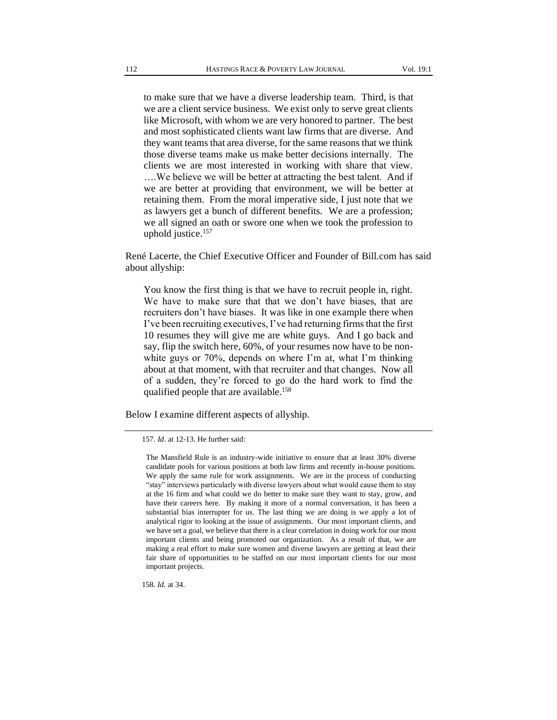to make sure that we have a diverse leadership team. Third, is that we are a client service business. We exist only to serve great clients like Microsoft, with whom we are very honored to partner. The best and most sophisticated clients want law firms that are diverse. And they want teams that area diverse, for the same reasons that we think those diverse teams make us make better decisions internally. The clients we are most interested in working with share that view. ….We believe we will be better at attracting the best talent. And if we are better at providing that environment, we will be better at retaining them. From the moral imperative side, I just note that we as lawyers get a bunch of different benefits. We are a profession; we all signed an oath or swore one when we took the profession to uphold justice.<sup>157</sup>

René Lacerte, the Chief Executive Officer and Founder of Bill.com has said about allyship:

You know the first thing is that we have to recruit people in, right. We have to make sure that that we don't have biases, that are recruiters don't have biases. It was like in one example there when I've been recruiting executives, I've had returning firms that the first 10 resumes they will give me are white guys. And I go back and say, flip the switch here, 60%, of your resumes now have to be nonwhite guys or 70%, depends on where I'm at, what I'm thinking about at that moment, with that recruiter and that changes. Now all of a sudden, they're forced to go do the hard work to find the qualified people that are available.<sup>158</sup>

Below I examine different aspects of allyship.

158*. Id.* at 34.

<sup>157</sup>*. Id*. at 12-13. He further said:

The Mansfield Rule is an industry-wide initiative to ensure that at least 30% diverse candidate pools for various positions at both law firms and recently in-house positions. We apply the same rule for work assignments. We are in the process of conducting "stay" interviews particularly with diverse lawyers about what would cause them to stay at the 16 firm and what could we do better to make sure they want to stay, grow, and have their careers here. By making it more of a normal conversation, it has been a substantial bias interrupter for us. The last thing we are doing is we apply a lot of analytical rigor to looking at the issue of assignments. Our most important clients, and we have set a goal, we believe that there is a clear correlation in doing work for our most important clients and being promoted our organization. As a result of that, we are making a real effort to make sure women and diverse lawyers are getting at least their fair share of opportunities to be staffed on our most important clients for our most important projects.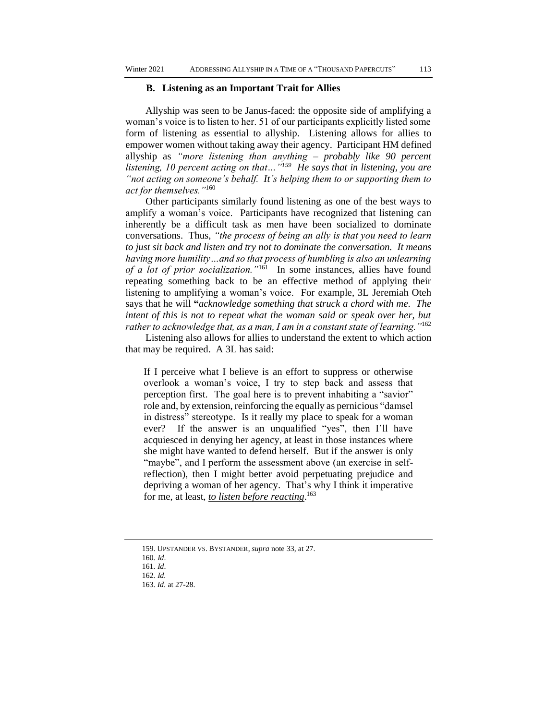#### **B. Listening as an Important Trait for Allies**

Allyship was seen to be Janus-faced: the opposite side of amplifying a woman's voice is to listen to her. 51 of our participants explicitly listed some form of listening as essential to allyship. Listening allows for allies to empower women without taking away their agency. Participant HM defined allyship as *"more listening than anything – probably like 90 percent listening, 10 percent acting on that…"<sup>159</sup> He says that in listening, you are "not acting on someone's behalf. It's helping them to or supporting them to act for themselves."*<sup>160</sup>

Other participants similarly found listening as one of the best ways to amplify a woman's voice. Participants have recognized that listening can inherently be a difficult task as men have been socialized to dominate conversations. Thus, *"the process of being an ally is that you need to learn to just sit back and listen and try not to dominate the conversation. It means having more humility…and so that process of humbling is also an unlearning of a lot of prior socialization."*<sup>161</sup> In some instances, allies have found repeating something back to be an effective method of applying their listening to amplifying a woman's voice. For example, 3L Jeremiah Oteh says that he will **"***acknowledge something that struck a chord with me. The*  intent of this is not to repeat what the woman said or speak over her, but *rather to acknowledge that, as a man, I am in a constant state of learning."*<sup>162</sup>

Listening also allows for allies to understand the extent to which action that may be required. A 3L has said:

If I perceive what I believe is an effort to suppress or otherwise overlook a woman's voice, I try to step back and assess that perception first. The goal here is to prevent inhabiting a "savior" role and, by extension, reinforcing the equally as pernicious "damsel in distress" stereotype. Is it really my place to speak for a woman ever? If the answer is an unqualified "yes", then I'll have acquiesced in denying her agency, at least in those instances where she might have wanted to defend herself. But if the answer is only "maybe", and I perform the assessment above (an exercise in selfreflection), then I might better avoid perpetuating prejudice and depriving a woman of her agency. That's why I think it imperative for me, at least, *to listen before reacting*. 163

<sup>159.</sup> UPSTANDER VS. BYSTANDER, *supra* note 33, at 27.

<sup>160</sup>*. Id*.

<sup>161</sup>*. Id*.

<sup>162</sup>*. Id.*

<sup>163</sup>*. Id*. at 27-28.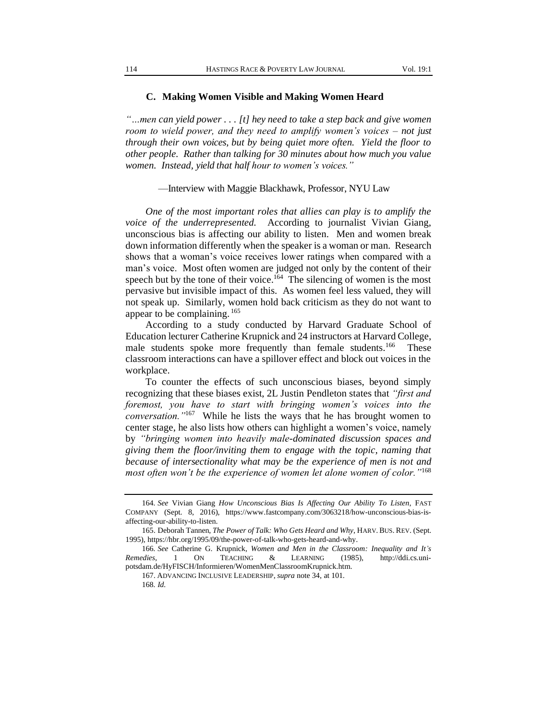#### **C. Making Women Visible and Making Women Heard**

*"…men can yield power . . . [t] hey need to take a step back and give women room to wield power, and they need to amplify women's voices – not just through their own voices, but by being quiet more often. Yield the floor to other people. Rather than talking for 30 minutes about how much you value women. Instead, yield that half hour to women's voices."*

—Interview with Maggie Blackhawk, Professor, NYU Law

*One of the most important roles that allies can play is to amplify the voice of the underrepresented.* According to journalist Vivian Giang, unconscious bias is affecting our ability to listen. Men and women break down information differently when the speaker is a woman or man. Research shows that a woman's voice receives lower ratings when compared with a man's voice. Most often women are judged not only by the content of their speech but by the tone of their voice.<sup>164</sup> The silencing of women is the most pervasive but invisible impact of this. As women feel less valued, they will not speak up. Similarly, women hold back criticism as they do not want to appear to be complaining. <sup>165</sup>

According to a study conducted by Harvard Graduate School of Education lecturer Catherine Krupnick and 24 instructors at Harvard College, male students spoke more frequently than female students.<sup>166</sup> These classroom interactions can have a spillover effect and block out voices in the workplace.

To counter the effects of such unconscious biases, beyond simply recognizing that these biases exist, 2L Justin Pendleton states that *"first and foremost, you have to start with bringing women's voices into the conversation."*<sup>167</sup> While he lists the ways that he has brought women to center stage, he also lists how others can highlight a women's voice, namely by *"bringing women into heavily male-dominated discussion spaces and giving them the floor/inviting them to engage with the topic, naming that because of intersectionality what may be the experience of men is not and most often won't be the experience of women let alone women of color."*<sup>168</sup>

167. ADVANCING INCLUSIVE LEADERSHIP, *supra* note 34, at 101. 168*. Id.*

<sup>164</sup>*. See* Vivian Giang *How Unconscious Bias Is Affecting Our Ability To Listen*, FAST COMPANY (Sept. 8, 2016), https://www.fastcompany.com/3063218/how-unconscious-bias-isaffecting-our-ability-to-listen.

<sup>165.</sup> Deborah Tannen, *The Power of Talk: Who Gets Heard and Why*, HARV.BUS. REV. (Sept. 1995), https://hbr.org/1995/09/the-power-of-talk-who-gets-heard-and-why.

<sup>166</sup>*. See* Catherine G. Krupnick, *Women and Men in the Classroom: Inequality and It's Remedies*, 1 ON TEACHING & LEARNING (1985), http://ddi.cs.unipotsdam.de/HyFISCH/Informieren/WomenMenClassroomKrupnick.htm.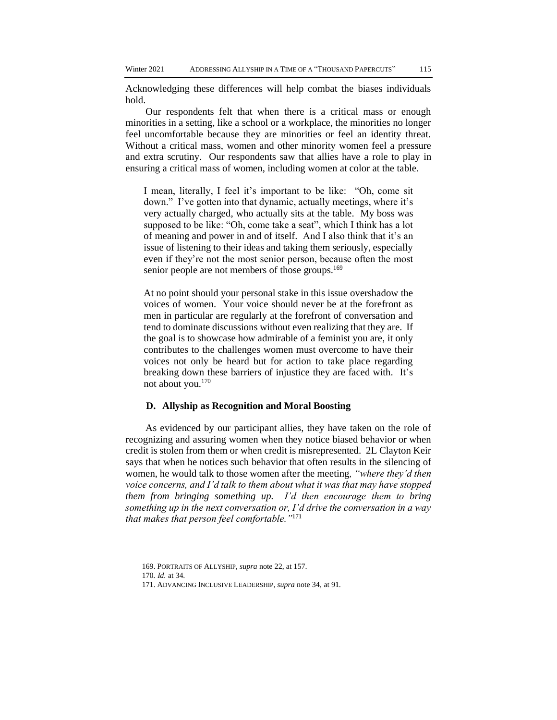Acknowledging these differences will help combat the biases individuals hold.

Our respondents felt that when there is a critical mass or enough minorities in a setting, like a school or a workplace, the minorities no longer feel uncomfortable because they are minorities or feel an identity threat. Without a critical mass, women and other minority women feel a pressure and extra scrutiny. Our respondents saw that allies have a role to play in ensuring a critical mass of women, including women at color at the table.

I mean, literally, I feel it's important to be like: "Oh, come sit down." I've gotten into that dynamic, actually meetings, where it's very actually charged, who actually sits at the table. My boss was supposed to be like: "Oh, come take a seat", which I think has a lot of meaning and power in and of itself. And I also think that it's an issue of listening to their ideas and taking them seriously, especially even if they're not the most senior person, because often the most senior people are not members of those groups.<sup>169</sup>

At no point should your personal stake in this issue overshadow the voices of women. Your voice should never be at the forefront as men in particular are regularly at the forefront of conversation and tend to dominate discussions without even realizing that they are. If the goal is to showcase how admirable of a feminist you are, it only contributes to the challenges women must overcome to have their voices not only be heard but for action to take place regarding breaking down these barriers of injustice they are faced with. It's not about you.<sup>170</sup>

#### **D. Allyship as Recognition and Moral Boosting**

As evidenced by our participant allies, they have taken on the role of recognizing and assuring women when they notice biased behavior or when credit is stolen from them or when credit is misrepresented. 2L Clayton Keir says that when he notices such behavior that often results in the silencing of women, he would talk to those women after the meeting*, "where they'd then voice concerns, and I'd talk to them about what it was that may have stopped them from bringing something up. I'd then encourage them to bring something up in the next conversation or, I'd drive the conversation in a way that makes that person feel comfortable."*<sup>171</sup>

<sup>169.</sup> PORTRAITS OF ALLYSHIP, *supra* note 22, at 157.

<sup>170</sup>*. Id.* at 34.

<sup>171.</sup> ADVANCING INCLUSIVE LEADERSHIP, *supra* note 34, at 91.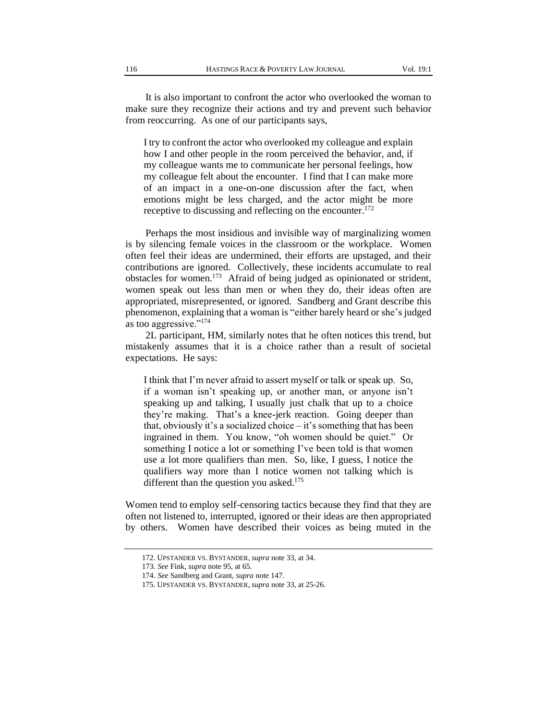It is also important to confront the actor who overlooked the woman to make sure they recognize their actions and try and prevent such behavior from reoccurring. As one of our participants says,

I try to confront the actor who overlooked my colleague and explain how I and other people in the room perceived the behavior, and, if my colleague wants me to communicate her personal feelings, how my colleague felt about the encounter. I find that I can make more of an impact in a one-on-one discussion after the fact, when emotions might be less charged, and the actor might be more receptive to discussing and reflecting on the encounter.<sup>172</sup>

Perhaps the most insidious and invisible way of marginalizing women is by silencing female voices in the classroom or the workplace. Women often feel their ideas are undermined, their efforts are upstaged, and their contributions are ignored. Collectively, these incidents accumulate to real obstacles for women.<sup>173</sup> Afraid of being judged as opinionated or strident, women speak out less than men or when they do, their ideas often are appropriated, misrepresented, or ignored. Sandberg and Grant describe this phenomenon, explaining that a woman is "either barely heard or she's judged as too aggressive."<sup>174</sup>

2L participant, HM, similarly notes that he often notices this trend, but mistakenly assumes that it is a choice rather than a result of societal expectations. He says:

I think that I'm never afraid to assert myself or talk or speak up. So, if a woman isn't speaking up, or another man, or anyone isn't speaking up and talking, I usually just chalk that up to a choice they're making. That's a knee-jerk reaction. Going deeper than that, obviously it's a socialized choice – it's something that has been ingrained in them. You know, "oh women should be quiet." Or something I notice a lot or something I've been told is that women use a lot more qualifiers than men. So, like, I guess, I notice the qualifiers way more than I notice women not talking which is different than the question you asked.<sup>175</sup>

Women tend to employ self-censoring tactics because they find that they are often not listened to, interrupted, ignored or their ideas are then appropriated by others. Women have described their voices as being muted in the

<sup>172.</sup> UPSTANDER VS. BYSTANDER, *supra* note 33, at 34.

<sup>173</sup>*. See* Fink, *supra* note 95, at 65.

<sup>174</sup>*. See* Sandberg and Grant, *supra* note 147.

<sup>175.</sup> UPSTANDER VS. BYSTANDER, *supra* note 33, at 25-26.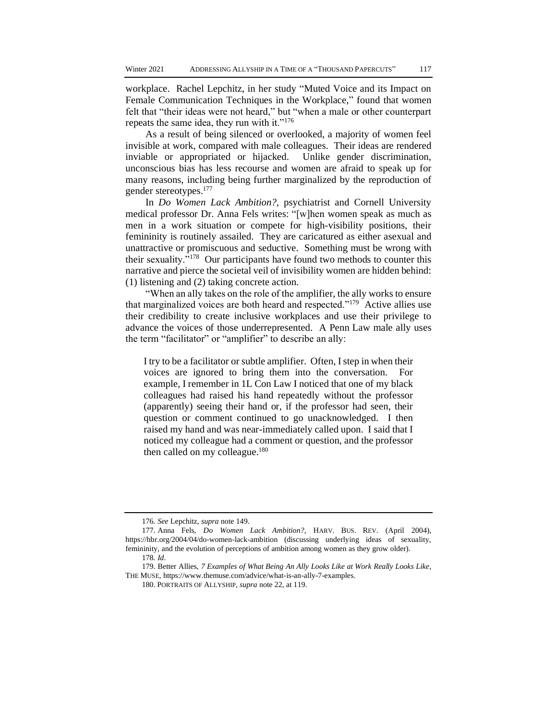workplace. Rachel Lepchitz, in her study "Muted Voice and its Impact on Female Communication Techniques in the Workplace," found that women felt that "their ideas were not heard," but "when a male or other counterpart repeats the same idea, they run with it."<sup>176</sup>

As a result of being silenced or overlooked, a majority of women feel invisible at work, compared with male colleagues. Their ideas are rendered inviable or appropriated or hijacked. Unlike gender discrimination, unconscious bias has less recourse and women are afraid to speak up for many reasons, including being further marginalized by the reproduction of gender stereotypes.<sup>177</sup>

In *Do Women Lack Ambition?,* psychiatrist and Cornell University medical professor Dr. Anna Fels writes: "[w]hen women speak as much as men in a work situation or compete for high-visibility positions, their femininity is routinely assailed. They are caricatured as either asexual and unattractive or promiscuous and seductive. Something must be wrong with their sexuality."<sup>178</sup> Our participants have found two methods to counter this narrative and pierce the societal veil of invisibility women are hidden behind: (1) listening and (2) taking concrete action.

"When an ally takes on the role of the amplifier, the ally works to ensure that marginalized voices are both heard and respected."<sup>179</sup> Active allies use their credibility to create inclusive workplaces and use their privilege to advance the voices of those underrepresented. A Penn Law male ally uses the term "facilitator" or "amplifier" to describe an ally:

I try to be a facilitator or subtle amplifier. Often, I step in when their voices are ignored to bring them into the conversation. For example, I remember in 1L Con Law I noticed that one of my black colleagues had raised his hand repeatedly without the professor (apparently) seeing their hand or, if the professor had seen, their question or comment continued to go unacknowledged. I then raised my hand and was near-immediately called upon. I said that I noticed my colleague had a comment or question, and the professor then called on my colleague.<sup>180</sup>

<sup>176</sup>*. See* Lepchitz, *supra* note 149.

<sup>177.</sup> Anna Fels, *Do Women Lack Ambition?*, HARV. BUS. REV. (April 2004), https://hbr.org/2004/04/do-women-lack-ambition (discussing underlying ideas of sexuality, femininity, and the evolution of perceptions of ambition among women as they grow older).

<sup>178</sup>*. Id*.

<sup>179.</sup> Better Allies, *7 Examples of What Being An Ally Looks Like at Work Really Looks Like*, THE MUSE, https://www.themuse.com/advice/what-is-an-ally-7-examples.

<sup>180.</sup> PORTRAITS OF ALLYSHIP, *supra* note 22, at 119.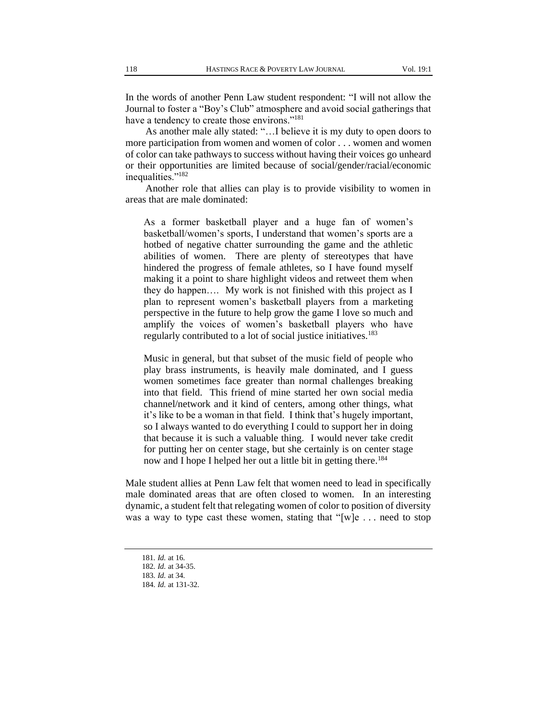In the words of another Penn Law student respondent: "I will not allow the Journal to foster a "Boy's Club" atmosphere and avoid social gatherings that have a tendency to create those environs."<sup>181</sup>

As another male ally stated: "…I believe it is my duty to open doors to more participation from women and women of color . . . women and women of color can take pathways to success without having their voices go unheard or their opportunities are limited because of social/gender/racial/economic inequalities."<sup>182</sup>

Another role that allies can play is to provide visibility to women in areas that are male dominated:

As a former basketball player and a huge fan of women's basketball/women's sports, I understand that women's sports are a hotbed of negative chatter surrounding the game and the athletic abilities of women. There are plenty of stereotypes that have hindered the progress of female athletes, so I have found myself making it a point to share highlight videos and retweet them when they do happen…. My work is not finished with this project as I plan to represent women's basketball players from a marketing perspective in the future to help grow the game I love so much and amplify the voices of women's basketball players who have regularly contributed to a lot of social justice initiatives.<sup>183</sup>

Music in general, but that subset of the music field of people who play brass instruments, is heavily male dominated, and I guess women sometimes face greater than normal challenges breaking into that field. This friend of mine started her own social media channel/network and it kind of centers, among other things, what it's like to be a woman in that field. I think that's hugely important, so I always wanted to do everything I could to support her in doing that because it is such a valuable thing. I would never take credit for putting her on center stage, but she certainly is on center stage now and I hope I helped her out a little bit in getting there.<sup>184</sup>

Male student allies at Penn Law felt that women need to lead in specifically male dominated areas that are often closed to women. In an interesting dynamic, a student felt that relegating women of color to position of diversity was a way to type cast these women, stating that "[w]e . . . need to stop

<sup>181</sup>*. Id.* at 16.

<sup>182</sup>*. Id.* at 34-35.

<sup>183</sup>*. Id.* at 34.

<sup>184</sup>*. Id.* at 131-32.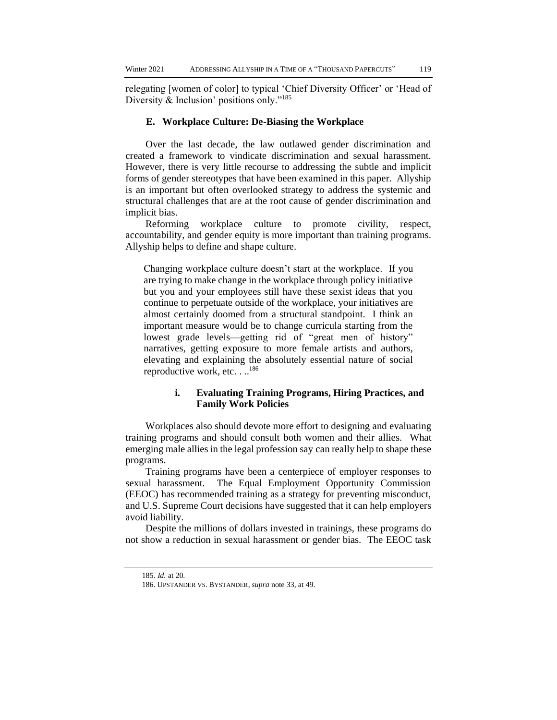relegating [women of color] to typical 'Chief Diversity Officer' or 'Head of Diversity & Inclusion' positions only."<sup>185</sup>

#### **E. Workplace Culture: De-Biasing the Workplace**

Over the last decade, the law outlawed gender discrimination and created a framework to vindicate discrimination and sexual harassment. However, there is very little recourse to addressing the subtle and implicit forms of gender stereotypes that have been examined in this paper. Allyship is an important but often overlooked strategy to address the systemic and structural challenges that are at the root cause of gender discrimination and implicit bias.

Reforming workplace culture to promote civility, respect, accountability, and gender equity is more important than training programs. Allyship helps to define and shape culture.

Changing workplace culture doesn't start at the workplace. If you are trying to make change in the workplace through policy initiative but you and your employees still have these sexist ideas that you continue to perpetuate outside of the workplace, your initiatives are almost certainly doomed from a structural standpoint. I think an important measure would be to change curricula starting from the lowest grade levels—getting rid of "great men of history" narratives, getting exposure to more female artists and authors, elevating and explaining the absolutely essential nature of social reproductive work, etc. . ..<sup>186</sup>

## **i. Evaluating Training Programs, Hiring Practices, and Family Work Policies**

Workplaces also should devote more effort to designing and evaluating training programs and should consult both women and their allies. What emerging male allies in the legal profession say can really help to shape these programs.

Training programs have been a centerpiece of employer responses to sexual harassment. The Equal Employment Opportunity Commission (EEOC) has recommended training as a strategy for preventing misconduct, and U.S. Supreme Court decisions have suggested that it can help employers avoid liability.

Despite the millions of dollars invested in trainings, these programs do not show a reduction in sexual harassment or gender bias. The EEOC task

<sup>185</sup>*. Id.* at 20.

<sup>186.</sup> UPSTANDER VS. BYSTANDER, *supra* note 33, at 49.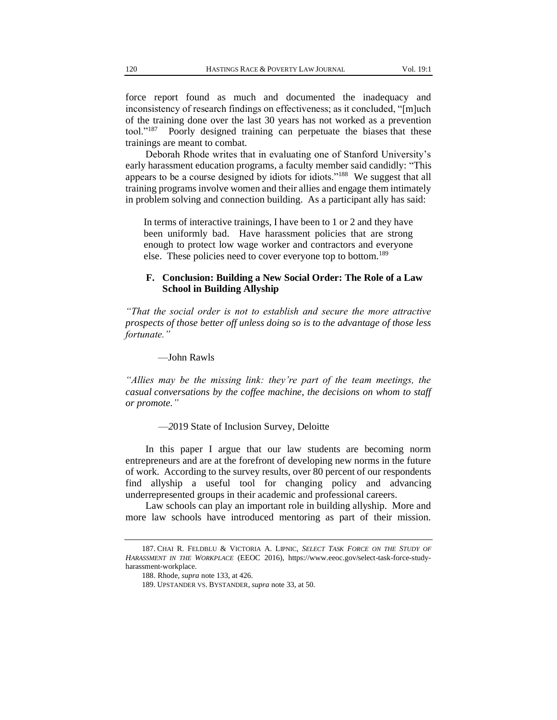force report found as much and documented the inadequacy and inconsistency of research findings on effectiveness; as it concluded, "[m]uch of the training done over the last 30 years has not worked as a prevention tool."<sup>187</sup> Poorly designed training can perpetuate the biases that these Poorly designed training can perpetuate the biases that these trainings are meant to combat.

Deborah Rhode writes that in evaluating one of Stanford University's early harassment education programs, a faculty member said candidly: "This appears to be a course designed by idiots for idiots."<sup>188</sup> We suggest that all training programs involve women and their allies and engage them intimately in problem solving and connection building. As a participant ally has said:

In terms of interactive trainings, I have been to 1 or 2 and they have been uniformly bad. Have harassment policies that are strong enough to protect low wage worker and contractors and everyone else. These policies need to cover everyone top to bottom.<sup>189</sup>

## **F. Conclusion: Building a New Social Order: The Role of a Law School in Building Allyship**

*"That the social order is not to establish and secure the more attractive prospects of those better off unless doing so is to the advantage of those less fortunate."*

#### —John Rawls

*"Allies may be the missing link: they're part of the team meetings, the casual conversations by the coffee machine, the decisions on whom to staff or promote."*

—*2*019 State of Inclusion Survey, Deloitte

In this paper I argue that our law students are becoming norm entrepreneurs and are at the forefront of developing new norms in the future of work. According to the survey results, over 80 percent of our respondents find allyship a useful tool for changing policy and advancing underrepresented groups in their academic and professional careers.

Law schools can play an important role in building allyship. More and more law schools have introduced mentoring as part of their mission.

<sup>187.</sup> CHAI R. FELDBLU & VICTORIA A. LIPNIC, *SELECT TASK FORCE ON THE STUDY OF HARASSMENT IN THE WORKPLACE* (EEOC 2016), https://www.eeoc.gov/select-task-force-studyharassment-workplace.

<sup>188.</sup> Rhode, *supra* note 133, at 426.

<sup>189.</sup> UPSTANDER VS. BYSTANDER, *supra* note 33, at 50.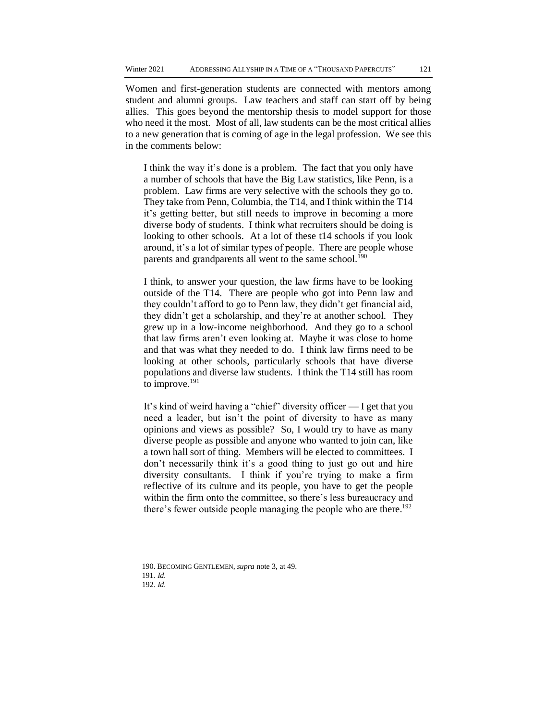Women and first-generation students are connected with mentors among student and alumni groups. Law teachers and staff can start off by being allies. This goes beyond the mentorship thesis to model support for those who need it the most. Most of all, law students can be the most critical allies to a new generation that is coming of age in the legal profession. We see this in the comments below:

I think the way it's done is a problem. The fact that you only have a number of schools that have the Big Law statistics, like Penn, is a problem. Law firms are very selective with the schools they go to. They take from Penn, Columbia, the T14, and I think within the T14 it's getting better, but still needs to improve in becoming a more diverse body of students. I think what recruiters should be doing is looking to other schools. At a lot of these t14 schools if you look around, it's a lot of similar types of people. There are people whose parents and grandparents all went to the same school.<sup>190</sup>

I think, to answer your question, the law firms have to be looking outside of the T14. There are people who got into Penn law and they couldn't afford to go to Penn law, they didn't get financial aid, they didn't get a scholarship, and they're at another school. They grew up in a low-income neighborhood. And they go to a school that law firms aren't even looking at. Maybe it was close to home and that was what they needed to do. I think law firms need to be looking at other schools, particularly schools that have diverse populations and diverse law students. I think the T14 still has room to improve.<sup>191</sup>

It's kind of weird having a "chief" diversity officer — I get that you need a leader, but isn't the point of diversity to have as many opinions and views as possible? So, I would try to have as many diverse people as possible and anyone who wanted to join can, like a town hall sort of thing. Members will be elected to committees. I don't necessarily think it's a good thing to just go out and hire diversity consultants. I think if you're trying to make a firm reflective of its culture and its people, you have to get the people within the firm onto the committee, so there's less bureaucracy and there's fewer outside people managing the people who are there.<sup>192</sup>

<sup>190.</sup> BECOMING GENTLEMEN, *supra* note 3, at 49.

<sup>191</sup>*. Id.*

<sup>192</sup>*. Id.*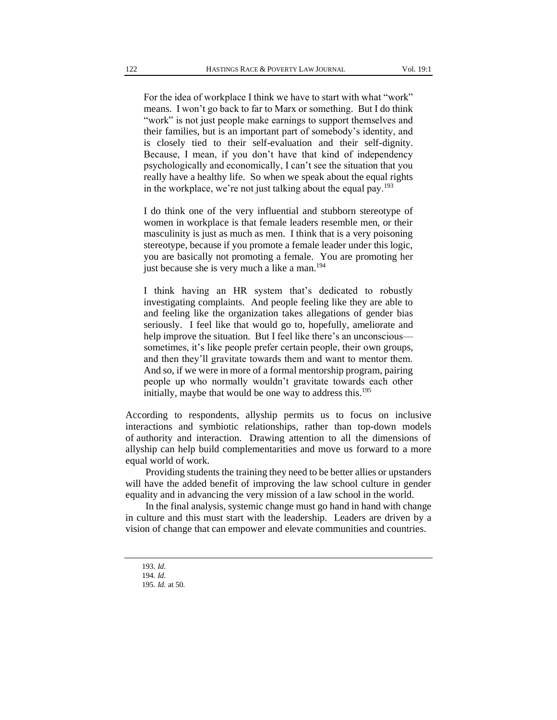For the idea of workplace I think we have to start with what "work" means. I won't go back to far to Marx or something. But I do think "work" is not just people make earnings to support themselves and their families, but is an important part of somebody's identity, and is closely tied to their self-evaluation and their self-dignity. Because, I mean, if you don't have that kind of independency psychologically and economically, I can't see the situation that you really have a healthy life. So when we speak about the equal rights in the workplace, we're not just talking about the equal pay.<sup>193</sup>

I do think one of the very influential and stubborn stereotype of women in workplace is that female leaders resemble men, or their masculinity is just as much as men. I think that is a very poisoning stereotype, because if you promote a female leader under this logic, you are basically not promoting a female. You are promoting her just because she is very much a like a man.<sup>194</sup>

I think having an HR system that's dedicated to robustly investigating complaints. And people feeling like they are able to and feeling like the organization takes allegations of gender bias seriously. I feel like that would go to, hopefully, ameliorate and help improve the situation. But I feel like there's an unconscious sometimes, it's like people prefer certain people, their own groups, and then they'll gravitate towards them and want to mentor them. And so, if we were in more of a formal mentorship program, pairing people up who normally wouldn't gravitate towards each other initially, maybe that would be one way to address this.<sup>195</sup>

According to respondents, allyship permits us to focus on inclusive interactions and symbiotic relationships, rather than top-down models of authority and interaction. Drawing attention to all the dimensions of allyship can help build complementarities and move us forward to a more equal world of work.

Providing students the training they need to be better allies or upstanders will have the added benefit of improving the law school culture in gender equality and in advancing the very mission of a law school in the world.

In the final analysis, systemic change must go hand in hand with change in culture and this must start with the leadership. Leaders are driven by a vision of change that can empower and elevate communities and countries.

<sup>193</sup>*. Id.*

<sup>194</sup>*. Id.*

<sup>195</sup>*. Id.* at 50.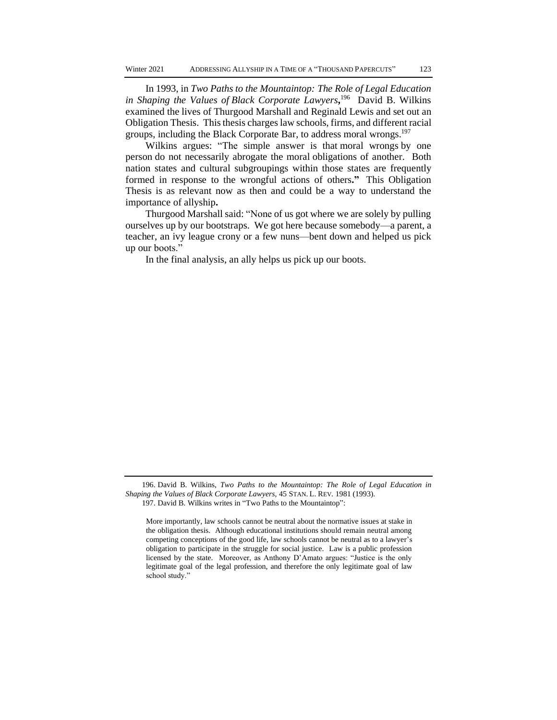In 1993, in *Two Paths to the Mountaintop: The Role of Legal Education in Shaping the Values of Black Corporate Lawyers***,** 196 David B. Wilkins examined the lives of Thurgood Marshall and Reginald Lewis and set out an Obligation Thesis. This thesis charges law schools, firms, and different racial groups, including the Black Corporate Bar, to address moral wrongs.<sup>197</sup>

Wilkins argues: "The simple answer is that moral wrongs by one person do not necessarily abrogate the moral obligations of another. Both nation states and cultural subgroupings within those states are frequently formed in response to the wrongful actions of others**."** This Obligation Thesis is as relevant now as then and could be a way to understand the importance of allyship**.**

Thurgood Marshall said: "None of us got where we are solely by pulling ourselves up by our bootstraps. We got here because somebody—a parent, a teacher, an ivy league crony or a few nuns—bent down and helped us pick up our boots."

In the final analysis, an ally helps us pick up our boots.

More importantly, law schools cannot be neutral about the normative issues at stake in the obligation thesis. Although educational institutions should remain neutral among competing conceptions of the good life, law schools cannot be neutral as to a lawyer's obligation to participate in the struggle for social justice. Law is a public profession licensed by the state. Moreover, as Anthony D'Amato argues: "Justice is the only legitimate goal of the legal profession, and therefore the only legitimate goal of law school study."

<sup>196.</sup> David B. Wilkins, *Two Paths to the Mountaintop: The Role of Legal Education in Shaping the Values of Black Corporate Lawyers*, 45 STAN. L. REV. 1981 (1993). 197. David B. Wilkins writes in "Two Paths to the Mountaintop":